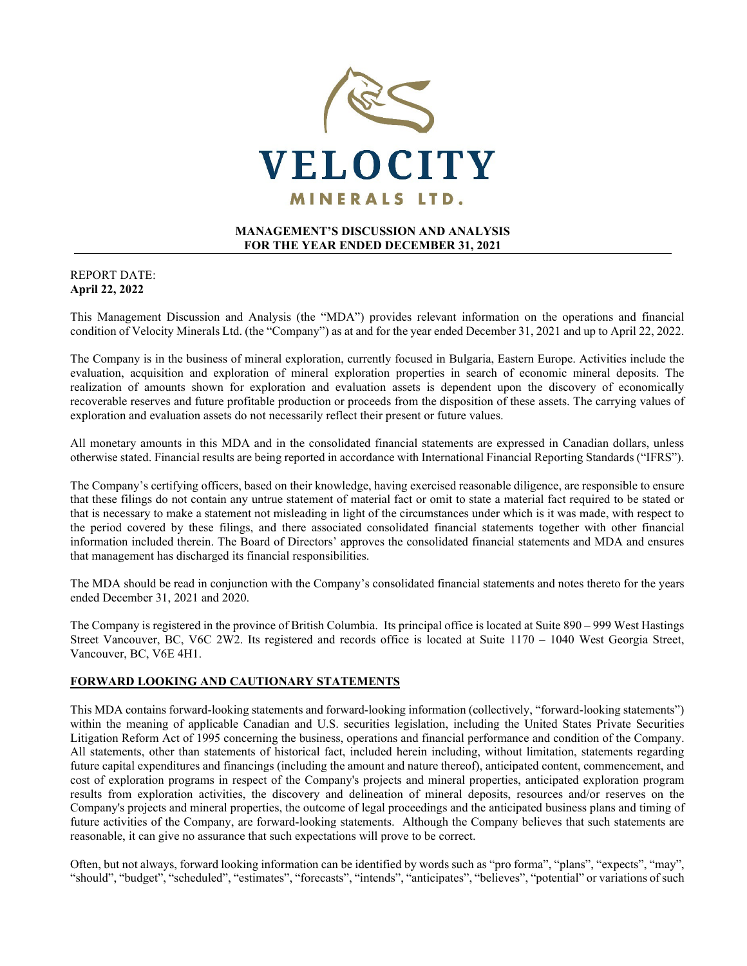

### **MANAGEMENT'S DISCUSSION AND ANALYSIS FOR THE YEAR ENDED DECEMBER 31, 2021**

### REPORT DATE: **April 22, 2022**

This Management Discussion and Analysis (the "MDA") provides relevant information on the operations and financial condition of Velocity Minerals Ltd. (the "Company") as at and for the year ended December 31, 2021 and up to April 22, 2022.

The Company is in the business of mineral exploration, currently focused in Bulgaria, Eastern Europe. Activities include the evaluation, acquisition and exploration of mineral exploration properties in search of economic mineral deposits. The realization of amounts shown for exploration and evaluation assets is dependent upon the discovery of economically recoverable reserves and future profitable production or proceeds from the disposition of these assets. The carrying values of exploration and evaluation assets do not necessarily reflect their present or future values.

All monetary amounts in this MDA and in the consolidated financial statements are expressed in Canadian dollars, unless otherwise stated. Financial results are being reported in accordance with International Financial Reporting Standards ("IFRS").

The Company's certifying officers, based on their knowledge, having exercised reasonable diligence, are responsible to ensure that these filings do not contain any untrue statement of material fact or omit to state a material fact required to be stated or that is necessary to make a statement not misleading in light of the circumstances under which is it was made, with respect to the period covered by these filings, and there associated consolidated financial statements together with other financial information included therein. The Board of Directors' approves the consolidated financial statements and MDA and ensures that management has discharged its financial responsibilities.

The MDA should be read in conjunction with the Company's consolidated financial statements and notes thereto for the years ended December 31, 2021 and 2020.

The Company is registered in the province of British Columbia. Its principal office is located at Suite 890 – 999 West Hastings Street Vancouver, BC, V6C 2W2. Its registered and records office is located at Suite 1170 – 1040 West Georgia Street, Vancouver, BC, V6E 4H1.

## **FORWARD LOOKING AND CAUTIONARY STATEMENTS**

This MDA contains forward-looking statements and forward-looking information (collectively, "forward-looking statements") within the meaning of applicable Canadian and U.S. securities legislation, including the United States Private Securities Litigation Reform Act of 1995 concerning the business, operations and financial performance and condition of the Company. All statements, other than statements of historical fact, included herein including, without limitation, statements regarding future capital expenditures and financings (including the amount and nature thereof), anticipated content, commencement, and cost of exploration programs in respect of the Company's projects and mineral properties, anticipated exploration program results from exploration activities, the discovery and delineation of mineral deposits, resources and/or reserves on the Company's projects and mineral properties, the outcome of legal proceedings and the anticipated business plans and timing of future activities of the Company, are forward-looking statements. Although the Company believes that such statements are reasonable, it can give no assurance that such expectations will prove to be correct.

Often, but not always, forward looking information can be identified by words such as "pro forma", "plans", "expects", "may", "should", "budget", "scheduled", "estimates", "forecasts", "intends", "anticipates", "believes", "potential" or variations of such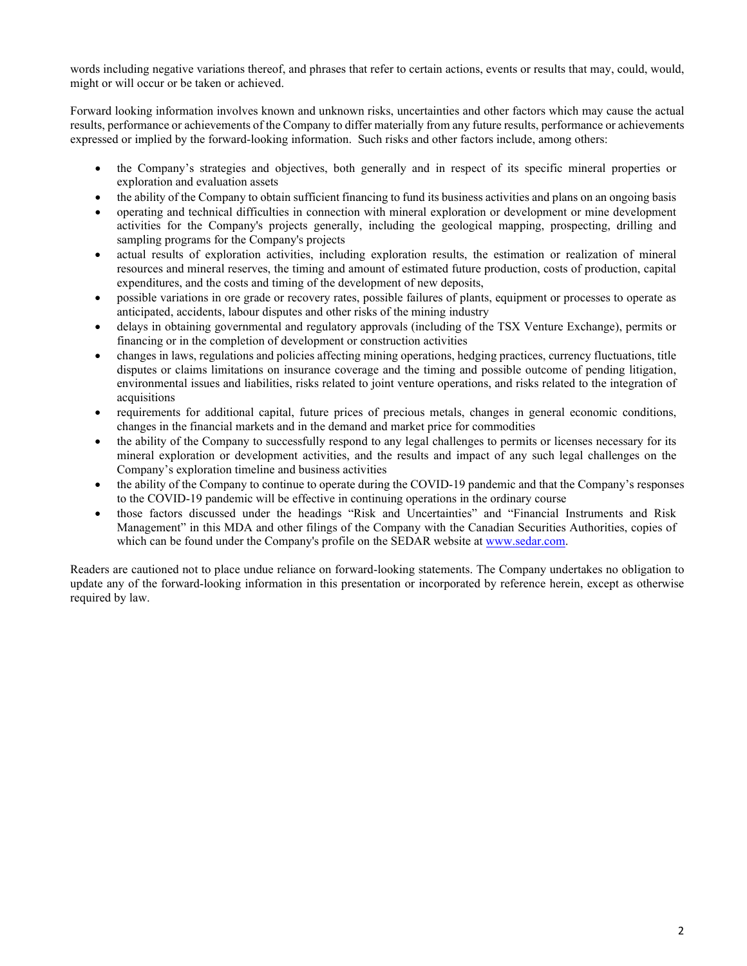words including negative variations thereof, and phrases that refer to certain actions, events or results that may, could, would, might or will occur or be taken or achieved.

Forward looking information involves known and unknown risks, uncertainties and other factors which may cause the actual results, performance or achievements of the Company to differ materially from any future results, performance or achievements expressed or implied by the forward-looking information. Such risks and other factors include, among others:

- the Company's strategies and objectives, both generally and in respect of its specific mineral properties or exploration and evaluation assets
- the ability of the Company to obtain sufficient financing to fund its business activities and plans on an ongoing basis
- operating and technical difficulties in connection with mineral exploration or development or mine development activities for the Company's projects generally, including the geological mapping, prospecting, drilling and sampling programs for the Company's projects
- actual results of exploration activities, including exploration results, the estimation or realization of mineral resources and mineral reserves, the timing and amount of estimated future production, costs of production, capital expenditures, and the costs and timing of the development of new deposits,
- possible variations in ore grade or recovery rates, possible failures of plants, equipment or processes to operate as anticipated, accidents, labour disputes and other risks of the mining industry
- delays in obtaining governmental and regulatory approvals (including of the TSX Venture Exchange), permits or financing or in the completion of development or construction activities
- changes in laws, regulations and policies affecting mining operations, hedging practices, currency fluctuations, title disputes or claims limitations on insurance coverage and the timing and possible outcome of pending litigation, environmental issues and liabilities, risks related to joint venture operations, and risks related to the integration of acquisitions
- requirements for additional capital, future prices of precious metals, changes in general economic conditions, changes in the financial markets and in the demand and market price for commodities
- the ability of the Company to successfully respond to any legal challenges to permits or licenses necessary for its mineral exploration or development activities, and the results and impact of any such legal challenges on the Company's exploration timeline and business activities
- the ability of the Company to continue to operate during the COVID-19 pandemic and that the Company's responses to the COVID-19 pandemic will be effective in continuing operations in the ordinary course
- those factors discussed under the headings "Risk and Uncertainties" and "Financial Instruments and Risk Management" in this MDA and other filings of the Company with the Canadian Securities Authorities, copies of which can be found under the Company's profile on the SEDAR website at [www.sedar.com.](http://www.sedar.com/)

Readers are cautioned not to place undue reliance on forward-looking statements. The Company undertakes no obligation to update any of the forward-looking information in this presentation or incorporated by reference herein, except as otherwise required by law.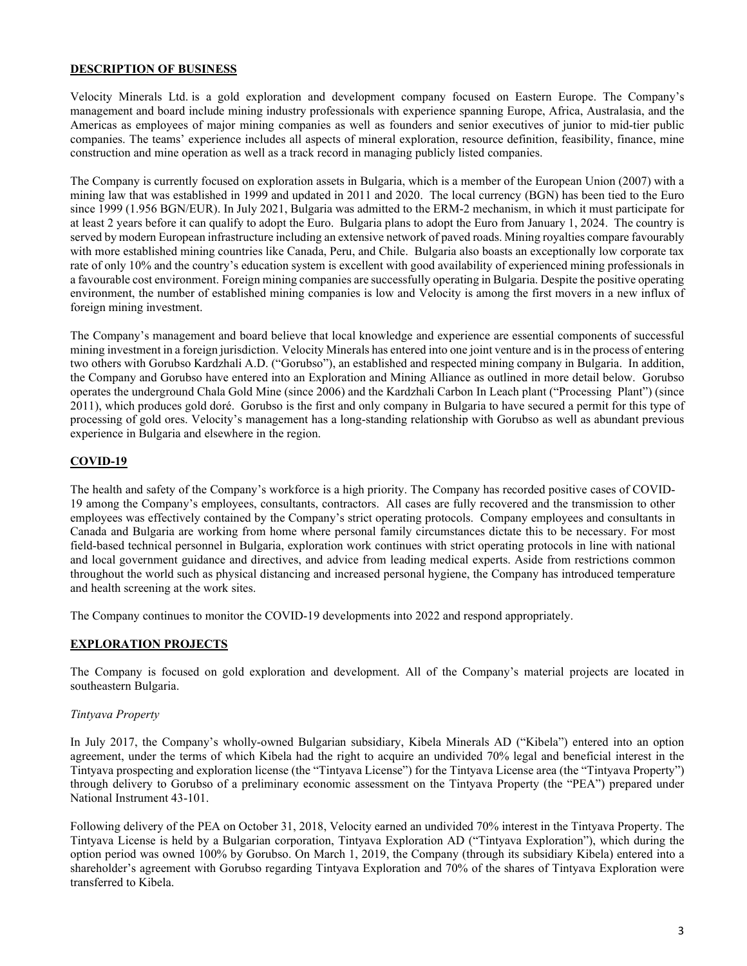### **DESCRIPTION OF BUSINESS**

Velocity Minerals Ltd. is a gold exploration and development company focused on Eastern Europe. The Company's management and board include mining industry professionals with experience spanning Europe, Africa, Australasia, and the Americas as employees of major mining companies as well as founders and senior executives of junior to mid-tier public companies. The teams' experience includes all aspects of mineral exploration, resource definition, feasibility, finance, mine construction and mine operation as well as a track record in managing publicly listed companies.

The Company is currently focused on exploration assets in Bulgaria, which is a member of the European Union (2007) with a mining law that was established in 1999 and updated in 2011 and 2020. The local currency (BGN) has been tied to the Euro since 1999 (1.956 BGN/EUR). In July 2021, Bulgaria was admitted to the ERM-2 mechanism, in which it must participate for at least 2 years before it can qualify to adopt the Euro. Bulgaria plans to adopt the Euro from January 1, 2024. The country is served by modern European infrastructure including an extensive network of paved roads. Mining royalties compare favourably with more established mining countries like Canada, Peru, and Chile. Bulgaria also boasts an exceptionally low corporate tax rate of only 10% and the country's education system is excellent with good availability of experienced mining professionals in a favourable cost environment. Foreign mining companies are successfully operating in Bulgaria. Despite the positive operating environment, the number of established mining companies is low and Velocity is among the first movers in a new influx of foreign mining investment.

The Company's management and board believe that local knowledge and experience are essential components of successful mining investment in a foreign jurisdiction. Velocity Minerals has entered into one joint venture and is in the process of entering two others with Gorubso Kardzhali A.D. ("Gorubso"), an established and respected mining company in Bulgaria. In addition, the Company and Gorubso have entered into an Exploration and Mining Alliance as outlined in more detail below. Gorubso operates the underground Chala Gold Mine (since 2006) and the Kardzhali Carbon In Leach plant ("Processing Plant") (since 2011), which produces gold doré. Gorubso is the first and only company in Bulgaria to have secured a permit for this type of processing of gold ores. Velocity's management has a long-standing relationship with Gorubso as well as abundant previous experience in Bulgaria and elsewhere in the region.

## **COVID-19**

The health and safety of the Company's workforce is a high priority. The Company has recorded positive cases of COVID-19 among the Company's employees, consultants, contractors. All cases are fully recovered and the transmission to other employees was effectively contained by the Company's strict operating protocols. Company employees and consultants in Canada and Bulgaria are working from home where personal family circumstances dictate this to be necessary. For most field-based technical personnel in Bulgaria, exploration work continues with strict operating protocols in line with national and local government guidance and directives, and advice from leading medical experts. Aside from restrictions common throughout the world such as physical distancing and increased personal hygiene, the Company has introduced temperature and health screening at the work sites.

The Company continues to monitor the COVID-19 developments into 2022 and respond appropriately.

### **EXPLORATION PROJECTS**

The Company is focused on gold exploration and development. All of the Company's material projects are located in southeastern Bulgaria.

### *Tintyava Property*

In July 2017, the Company's wholly-owned Bulgarian subsidiary, Kibela Minerals AD ("Kibela") entered into an option agreement, under the terms of which Kibela had the right to acquire an undivided 70% legal and beneficial interest in the Tintyava prospecting and exploration license (the "Tintyava License") for the Tintyava License area (the "Tintyava Property") through delivery to Gorubso of a preliminary economic assessment on the Tintyava Property (the "PEA") prepared under National Instrument 43-101.

Following delivery of the PEA on October 31, 2018, Velocity earned an undivided 70% interest in the Tintyava Property. The Tintyava License is held by a Bulgarian corporation, Tintyava Exploration AD ("Tintyava Exploration"), which during the option period was owned 100% by Gorubso. On March 1, 2019, the Company (through its subsidiary Kibela) entered into a shareholder's agreement with Gorubso regarding Tintyava Exploration and 70% of the shares of Tintyava Exploration were transferred to Kibela.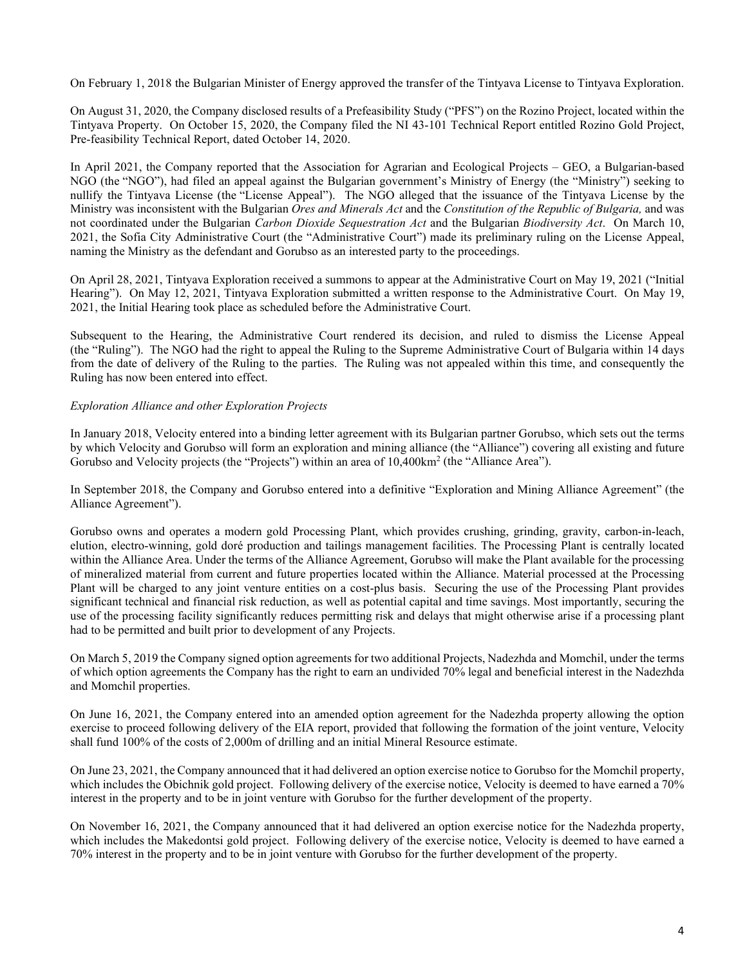On February 1, 2018 the Bulgarian Minister of Energy approved the transfer of the Tintyava License to Tintyava Exploration.

On August 31, 2020, the Company disclosed results of a Prefeasibility Study ("PFS") on the Rozino Project, located within the Tintyava Property. On October 15, 2020, the Company filed the NI 43-101 Technical Report entitled Rozino Gold Project, Pre-feasibility Technical Report, dated October 14, 2020.

In April 2021, the Company reported that the Association for Agrarian and Ecological Projects – GEO, a Bulgarian-based NGO (the "NGO"), had filed an appeal against the Bulgarian government's Ministry of Energy (the "Ministry") seeking to nullify the Tintyava License (the "License Appeal"). The NGO alleged that the issuance of the Tintyava License by the Ministry was inconsistent with the Bulgarian *Ores and Minerals Act* and the *Constitution of the Republic of Bulgaria,* and was not coordinated under the Bulgarian *Carbon Dioxide Sequestration Act* and the Bulgarian *Biodiversity Act*. On March 10, 2021, the Sofia City Administrative Court (the "Administrative Court") made its preliminary ruling on the License Appeal, naming the Ministry as the defendant and Gorubso as an interested party to the proceedings.

On April 28, 2021, Tintyava Exploration received a summons to appear at the Administrative Court on May 19, 2021 ("Initial Hearing"). On May 12, 2021, Tintyava Exploration submitted a written response to the Administrative Court. On May 19, 2021, the Initial Hearing took place as scheduled before the Administrative Court.

Subsequent to the Hearing, the Administrative Court rendered its decision, and ruled to dismiss the License Appeal (the "Ruling"). The NGO had the right to appeal the Ruling to the Supreme Administrative Court of Bulgaria within 14 days from the date of delivery of the Ruling to the parties. The Ruling was not appealed within this time, and consequently the Ruling has now been entered into effect.

### *Exploration Alliance and other Exploration Projects*

In January 2018, Velocity entered into a binding letter agreement with its Bulgarian partner Gorubso, which sets out the terms by which Velocity and Gorubso will form an exploration and mining alliance (the "Alliance") covering all existing and future Gorubso and Velocity projects (the "Projects") within an area of 10,400km2 (the "Alliance Area").

In September 2018, the Company and Gorubso entered into a definitive "Exploration and Mining Alliance Agreement" (the Alliance Agreement").

Gorubso owns and operates a modern gold Processing Plant, which provides crushing, grinding, gravity, carbon-in-leach, elution, electro-winning, gold doré production and tailings management facilities. The Processing Plant is centrally located within the Alliance Area. Under the terms of the Alliance Agreement, Gorubso will make the Plant available for the processing of mineralized material from current and future properties located within the Alliance. Material processed at the Processing Plant will be charged to any joint venture entities on a cost-plus basis. Securing the use of the Processing Plant provides significant technical and financial risk reduction, as well as potential capital and time savings. Most importantly, securing the use of the processing facility significantly reduces permitting risk and delays that might otherwise arise if a processing plant had to be permitted and built prior to development of any Projects.

On March 5, 2019 the Company signed option agreements for two additional Projects, Nadezhda and Momchil, under the terms of which option agreements the Company has the right to earn an undivided 70% legal and beneficial interest in the Nadezhda and Momchil properties.

On June 16, 2021, the Company entered into an amended option agreement for the Nadezhda property allowing the option exercise to proceed following delivery of the EIA report, provided that following the formation of the joint venture, Velocity shall fund 100% of the costs of 2,000m of drilling and an initial Mineral Resource estimate.

On June 23, 2021, the Company announced that it had delivered an option exercise notice to Gorubso for the Momchil property, which includes the Obichnik gold project. Following delivery of the exercise notice, Velocity is deemed to have earned a 70% interest in the property and to be in joint venture with Gorubso for the further development of the property.

On November 16, 2021, the Company announced that it had delivered an option exercise notice for the Nadezhda property, which includes the Makedontsi gold project. Following delivery of the exercise notice, Velocity is deemed to have earned a 70% interest in the property and to be in joint venture with Gorubso for the further development of the property.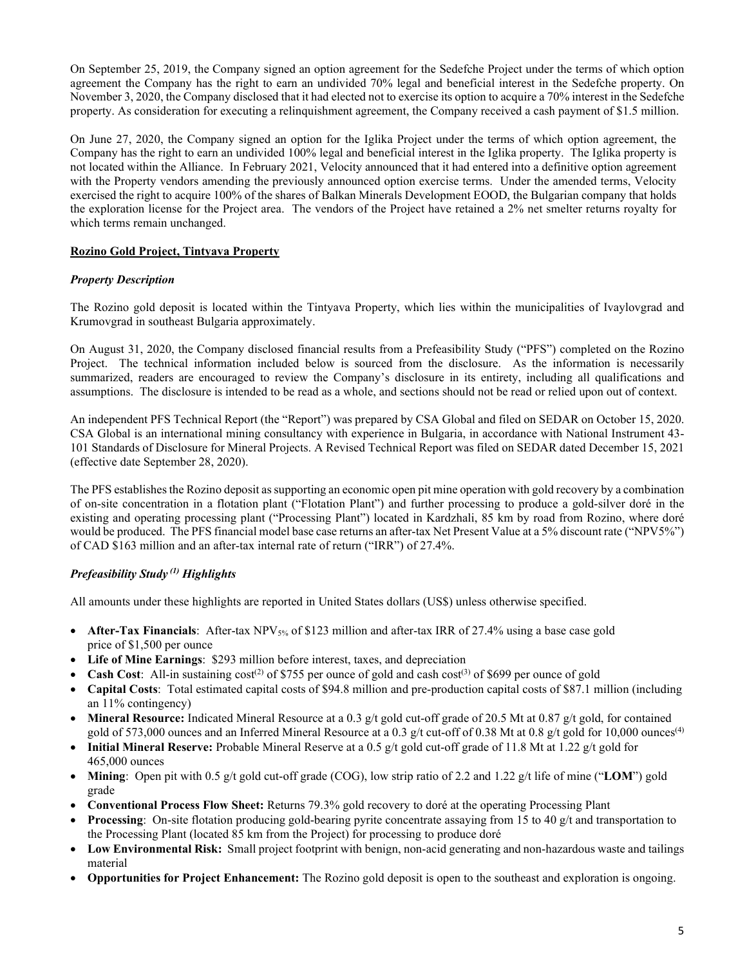On September 25, 2019, the Company signed an option agreement for the Sedefche Project under the terms of which option agreement the Company has the right to earn an undivided 70% legal and beneficial interest in the Sedefche property. On November 3, 2020, the Company disclosed that it had elected not to exercise its option to acquire a 70% interest in the Sedefche property. As consideration for executing a relinquishment agreement, the Company received a cash payment of \$1.5 million.

On June 27, 2020, the Company signed an option for the Iglika Project under the terms of which option agreement, the Company has the right to earn an undivided 100% legal and beneficial interest in the Iglika property. The Iglika property is not located within the Alliance. In February 2021, Velocity announced that it had entered into a definitive option agreement with the Property vendors amending the previously announced option exercise terms. Under the amended terms, Velocity exercised the right to acquire 100% of the shares of Balkan Minerals Development EOOD, the Bulgarian company that holds the exploration license for the Project area. The vendors of the Project have retained a 2% net smelter returns royalty for which terms remain unchanged.

# **Rozino Gold Project, Tintyava Property**

## *Property Description*

The Rozino gold deposit is located within the Tintyava Property, which lies within the municipalities of Ivaylovgrad and Krumovgrad in southeast Bulgaria approximately.

On August 31, 2020, the Company disclosed financial results from a Prefeasibility Study ("PFS") completed on the Rozino Project. The technical information included below is sourced from the disclosure. As the information is necessarily summarized, readers are encouraged to review the Company's disclosure in its entirety, including all qualifications and assumptions. The disclosure is intended to be read as a whole, and sections should not be read or relied upon out of context.

An independent PFS Technical Report (the "Report") was prepared by CSA Global and filed on SEDAR on October 15, 2020. CSA Global is an international mining consultancy with experience in Bulgaria, in accordance with National Instrument 43- 101 Standards of Disclosure for Mineral Projects. A Revised Technical Report was filed on SEDAR dated December 15, 2021 (effective date September 28, 2020).

The PFS establishes the Rozino deposit as supporting an economic open pit mine operation with gold recovery by a combination of on-site concentration in a flotation plant ("Flotation Plant") and further processing to produce a gold-silver doré in the existing and operating processing plant ("Processing Plant") located in Kardzhali, 85 km by road from Rozino, where doré would be produced. The PFS financial model base case returns an after-tax Net Present Value at a 5% discount rate ("NPV5%") of CAD \$163 million and an after-tax internal rate of return ("IRR") of 27.4%.

# *Prefeasibility Study (1) Highlights*

All amounts under these highlights are reported in United States dollars (US\$) unless otherwise specified.

- **After-Tax Financials**: After-tax NPV<sub>5%</sub> of \$123 million and after-tax IRR of 27.4% using a base case gold price of \$1,500 per ounce
- **Life of Mine Earnings**: \$293 million before interest, taxes, and depreciation
- **Cash Cost**: All-in sustaining  $cost^{(2)}$  of \$755 per ounce of gold and cash  $cost^{(3)}$  of \$699 per ounce of gold
- **Capital Costs**: Total estimated capital costs of \$94.8 million and pre-production capital costs of \$87.1 million (including an 11% contingency)
- Mineral Resource: Indicated Mineral Resource at a 0.3 g/t gold cut-off grade of 20.5 Mt at 0.87 g/t gold, for contained gold of 573,000 ounces and an Inferred Mineral Resource at a 0.3 g/t cut-off of 0.38 Mt at 0.8 g/t gold for 10,000 ounces<sup>(4)</sup>
- **Initial Mineral Reserve:** Probable Mineral Reserve at a 0.5 g/t gold cut-off grade of 11.8 Mt at 1.22 g/t gold for 465,000 ounces
- **Mining**: Open pit with 0.5 g/t gold cut-off grade (COG), low strip ratio of 2.2 and 1.22 g/t life of mine ("**LOM**") gold grade
- **Conventional Process Flow Sheet:** Returns 79.3% gold recovery to doré at the operating Processing Plant
- **Processing:** On-site flotation producing gold-bearing pyrite concentrate assaying from 15 to 40 g/t and transportation to the Processing Plant (located 85 km from the Project) for processing to produce doré
- **Low Environmental Risk:** Small project footprint with benign, non-acid generating and non-hazardous waste and tailings material
- **Opportunities for Project Enhancement:** The Rozino gold deposit is open to the southeast and exploration is ongoing.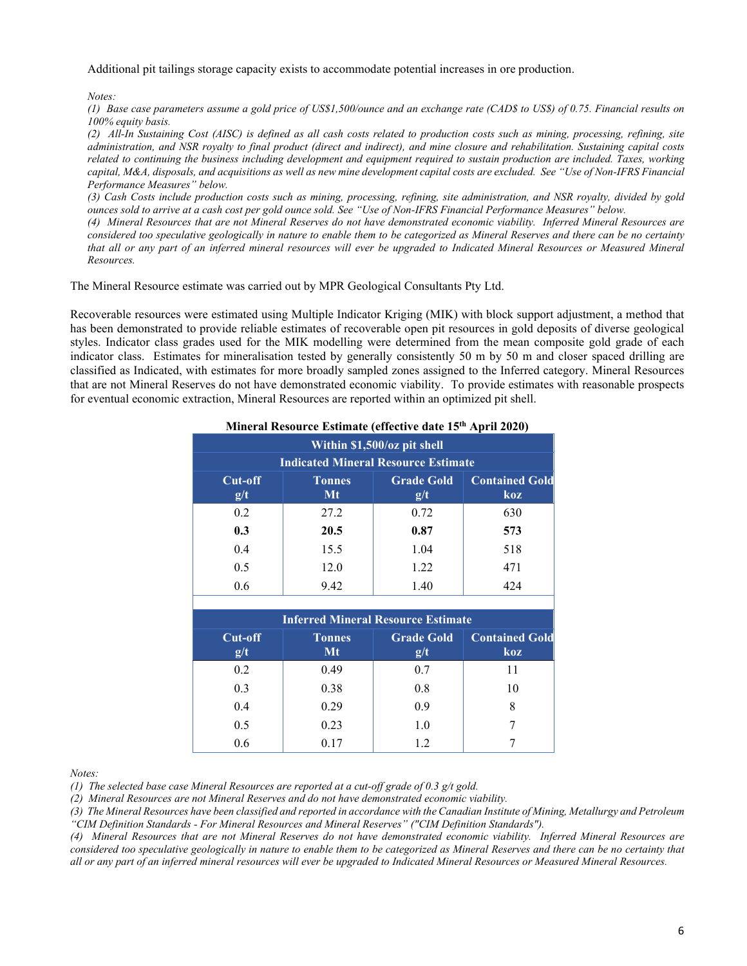Additional pit tailings storage capacity exists to accommodate potential increases in ore production.

#### *Notes:*

*(1) Base case parameters assume a gold price of US\$1,500/ounce and an exchange rate (CAD\$ to US\$) of 0.75. Financial results on 100% equity basis.*

*(2) All-In Sustaining Cost (AISC) is defined as all cash costs related to production costs such as mining, processing, refining, site administration, and NSR royalty to final product (direct and indirect), and mine closure and rehabilitation. Sustaining capital costs related to continuing the business including development and equipment required to sustain production are included. Taxes, working capital, M&A, disposals, and acquisitions as well as new mine development capital costs are excluded. See "Use of Non-IFRS Financial Performance Measures" below.*

*(3) Cash Costs include production costs such as mining, processing, refining, site administration, and NSR royalty, divided by gold ounces sold to arrive at a cash cost per gold ounce sold. See "Use of Non-IFRS Financial Performance Measures" below.*

*(4) Mineral Resources that are not Mineral Reserves do not have demonstrated economic viability. Inferred Mineral Resources are considered too speculative geologically in nature to enable them to be categorized as Mineral Reserves and there can be no certainty that all or any part of an inferred mineral resources will ever be upgraded to Indicated Mineral Resources or Measured Mineral Resources.* 

The Mineral Resource estimate was carried out by MPR Geological Consultants Pty Ltd.

Recoverable resources were estimated using Multiple Indicator Kriging (MIK) with block support adjustment, a method that has been demonstrated to provide reliable estimates of recoverable open pit resources in gold deposits of diverse geological styles. Indicator class grades used for the MIK modelling were determined from the mean composite gold grade of each indicator class. Estimates for mineralisation tested by generally consistently 50 m by 50 m and closer spaced drilling are classified as Indicated, with estimates for more broadly sampled zones assigned to the Inferred category. Mineral Resources that are not Mineral Reserves do not have demonstrated economic viability. To provide estimates with reasonable prospects for eventual economic extraction, Mineral Resources are reported within an optimized pit shell.

| Within \$1,500/oz pit shell<br><b>Indicated Mineral Resource Estimate</b> |                     |                          |                              |  |  |  |
|---------------------------------------------------------------------------|---------------------|--------------------------|------------------------------|--|--|--|
| <b>Cut-off</b><br>g/t                                                     | <b>Tonnes</b><br>Mt | <b>Grade Gold</b><br>g/t | <b>Contained Gold</b><br>koz |  |  |  |
| 0.2                                                                       | 27.2                | 0.72                     | 630                          |  |  |  |
| 0.3                                                                       | 20.5                | 0.87                     | 573                          |  |  |  |
| 0.4                                                                       | 15.5                | 1.04                     | 518                          |  |  |  |
| 0.5                                                                       | 12.0                | 1.22                     | 471                          |  |  |  |
| 0.6                                                                       | 9.42                | 1.40                     | 424                          |  |  |  |

# **Mineral Resource Estimate (effective date 15th April 2020)**

| <b>Inferred Mineral Resource Estimate</b> |                     |                          |                              |  |  |  |
|-------------------------------------------|---------------------|--------------------------|------------------------------|--|--|--|
| $Cut-off$<br>g/t                          | <b>Tonnes</b><br>Mt | <b>Grade Gold</b><br>g/t | <b>Contained Gold</b><br>koz |  |  |  |
| 0.2                                       | 0.49                | 0.7                      | 11                           |  |  |  |
| 0.3                                       | 0.38                | 0.8                      | 10                           |  |  |  |
| 0.4                                       | 0.29                | 0.9                      |                              |  |  |  |
| 0.5                                       | 0.23                | 1.0                      |                              |  |  |  |
| 0.6                                       | 0.17                | 1.2                      |                              |  |  |  |

*Notes:*

*(1) The selected base case Mineral Resources are reported at a cut-off grade of 0.3 g/t gold.*

*(2) Mineral Resources are not Mineral Reserves and do not have demonstrated economic viability.*

*(3) The Mineral Resources have been classified and reported in accordance with the Canadian Institute of Mining, Metallurgy and Petroleum "CIM Definition Standards - For Mineral Resources and Mineral Reserves" ("CIM Definition Standards").*

*(4) Mineral Resources that are not Mineral Reserves do not have demonstrated economic viability. Inferred Mineral Resources are considered too speculative geologically in nature to enable them to be categorized as Mineral Reserves and there can be no certainty that all or any part of an inferred mineral resources will ever be upgraded to Indicated Mineral Resources or Measured Mineral Resources.*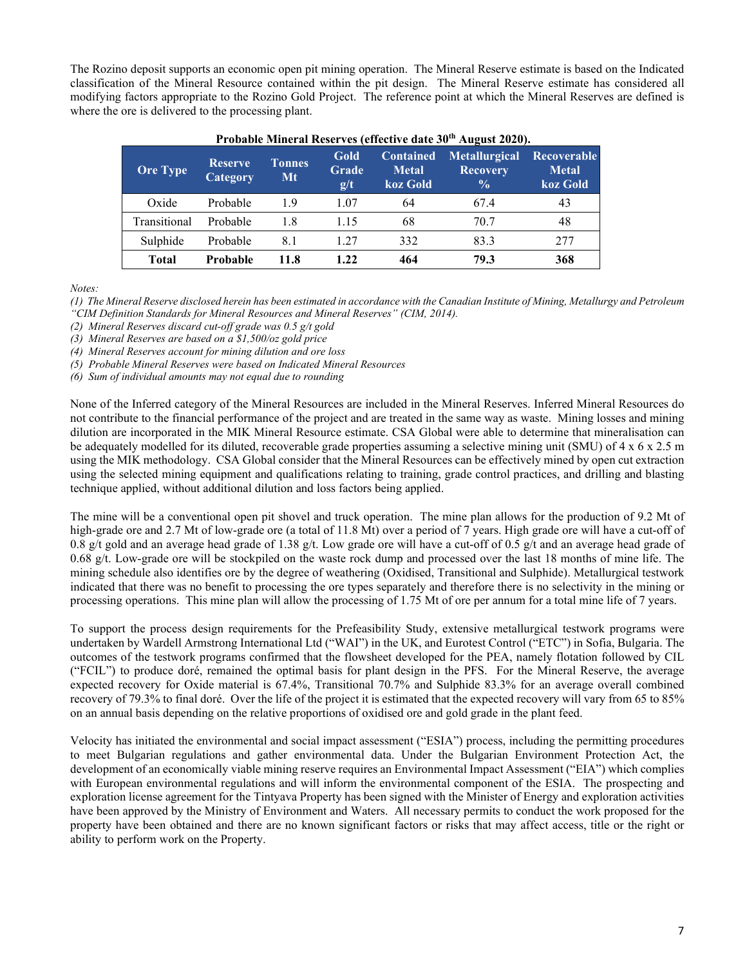The Rozino deposit supports an economic open pit mining operation. The Mineral Reserve estimate is based on the Indicated classification of the Mineral Resource contained within the pit design. The Mineral Reserve estimate has considered all modifying factors appropriate to the Rozino Gold Project. The reference point at which the Mineral Reserves are defined is where the ore is delivered to the processing plant.

| <b>Ore Type</b> | <b>Reserve</b><br><b>Category</b> | <b>Tonnes</b><br>Mt | Gold<br><b>Grade</b><br>g/t | <b>Contained</b><br><b>Metal</b><br>koz Gold | <b>Metallurgical</b><br><b>Recovery</b><br>$\frac{0}{0}$ | <b>Recoverable</b><br><b>Metal</b><br>koz Gold |
|-----------------|-----------------------------------|---------------------|-----------------------------|----------------------------------------------|----------------------------------------------------------|------------------------------------------------|
| Oxide           | Probable                          | 1.9                 | 1.07                        | 64                                           | 67.4                                                     | 43                                             |
| Transitional    | Probable                          | 1.8                 | 1.15                        | 68                                           | 70.7                                                     | 48                                             |
| Sulphide        | Probable                          | 8.1                 | 1.27                        | 332                                          | 83.3                                                     | 277                                            |
| <b>Total</b>    | Probable                          | 11.8                | 1.22                        | 464                                          | 79.3                                                     | 368                                            |

### **Probable Mineral Reserves (effective date 30th August 2020).**

*Notes:*

*(1) The Mineral Reserve disclosed herein has been estimated in accordance with the Canadian Institute of Mining, Metallurgy and Petroleum "CIM Definition Standards for Mineral Resources and Mineral Reserves" (CIM, 2014).*

*(2) Mineral Reserves discard cut-off grade was 0.5 g/t gold*

*(3) Mineral Reserves are based on a \$1,500/oz gold price*

*(4) Mineral Reserves account for mining dilution and ore loss*

*(5) Probable Mineral Reserves were based on Indicated Mineral Resources*

*(6) Sum of individual amounts may not equal due to rounding*

None of the Inferred category of the Mineral Resources are included in the Mineral Reserves. Inferred Mineral Resources do not contribute to the financial performance of the project and are treated in the same way as waste. Mining losses and mining dilution are incorporated in the MIK Mineral Resource estimate. CSA Global were able to determine that mineralisation can be adequately modelled for its diluted, recoverable grade properties assuming a selective mining unit (SMU) of 4 x 6 x 2.5 m using the MIK methodology. CSA Global consider that the Mineral Resources can be effectively mined by open cut extraction using the selected mining equipment and qualifications relating to training, grade control practices, and drilling and blasting technique applied, without additional dilution and loss factors being applied.

The mine will be a conventional open pit shovel and truck operation. The mine plan allows for the production of 9.2 Mt of high-grade ore and 2.7 Mt of low-grade ore (a total of 11.8 Mt) over a period of 7 years. High grade ore will have a cut-off of 0.8 g/t gold and an average head grade of 1.38 g/t. Low grade ore will have a cut-off of 0.5 g/t and an average head grade of 0.68 g/t. Low-grade ore will be stockpiled on the waste rock dump and processed over the last 18 months of mine life. The mining schedule also identifies ore by the degree of weathering (Oxidised, Transitional and Sulphide). Metallurgical testwork indicated that there was no benefit to processing the ore types separately and therefore there is no selectivity in the mining or processing operations. This mine plan will allow the processing of 1.75 Mt of ore per annum for a total mine life of 7 years.

To support the process design requirements for the Prefeasibility Study, extensive metallurgical testwork programs were undertaken by Wardell Armstrong International Ltd ("WAI") in the UK, and Eurotest Control ("ETC") in Sofia, Bulgaria. The outcomes of the testwork programs confirmed that the flowsheet developed for the PEA, namely flotation followed by CIL ("FCIL") to produce doré, remained the optimal basis for plant design in the PFS. For the Mineral Reserve, the average expected recovery for Oxide material is 67.4%, Transitional 70.7% and Sulphide 83.3% for an average overall combined recovery of 79.3% to final doré. Over the life of the project it is estimated that the expected recovery will vary from 65 to 85% on an annual basis depending on the relative proportions of oxidised ore and gold grade in the plant feed.

Velocity has initiated the environmental and social impact assessment ("ESIA") process, including the permitting procedures to meet Bulgarian regulations and gather environmental data. Under the Bulgarian Environment Protection Act, the development of an economically viable mining reserve requires an Environmental Impact Assessment ("EIA") which complies with European environmental regulations and will inform the environmental component of the ESIA. The prospecting and exploration license agreement for the Tintyava Property has been signed with the Minister of Energy and exploration activities have been approved by the Ministry of Environment and Waters. All necessary permits to conduct the work proposed for the property have been obtained and there are no known significant factors or risks that may affect access, title or the right or ability to perform work on the Property.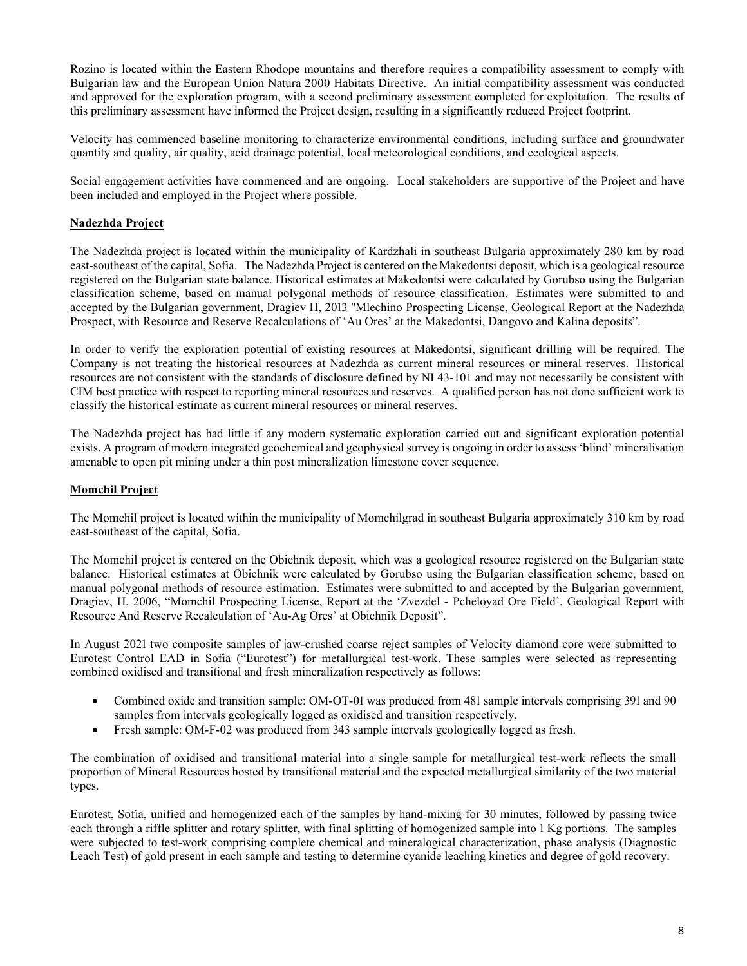Rozino is located within the Eastern Rhodope mountains and therefore requires a compatibility assessment to comply with Bulgarian law and the European Union Natura 2000 Habitats Directive. An initial compatibility assessment was conducted and approved for the exploration program, with a second preliminary assessment completed for exploitation. The results of this preliminary assessment have informed the Project design, resulting in a significantly reduced Project footprint.

Velocity has commenced baseline monitoring to characterize environmental conditions, including surface and groundwater quantity and quality, air quality, acid drainage potential, local meteorological conditions, and ecological aspects.

Social engagement activities have commenced and are ongoing. Local stakeholders are supportive of the Project and have been included and employed in the Project where possible.

## **Nadezhda Project**

The Nadezhda project is located within the municipality of Kardzhali in southeast Bulgaria approximately 280 km by road east-southeast of the capital, Sofia. The Nadezhda Project is centered on the Makedontsi deposit, which is a geological resource registered on the Bulgarian state balance. Historical estimates at Makedontsi were calculated by Gorubso using the Bulgarian classification scheme, based on manual polygonal methods of resource classification. Estimates were submitted to and accepted by the Bulgarian government, Dragiev H, 2013 "Mlechino Prospecting License, Geological Report at the Nadezhda Prospect, with Resource and Reserve Recalculations of 'Au Ores' at the Makedontsi, Dangovo and Kalina deposits".

In order to verify the exploration potential of existing resources at Makedontsi, significant drilling will be required. The Company is not treating the historical resources at Nadezhda as current mineral resources or mineral reserves. Historical resources are not consistent with the standards of disclosure defined by NI 43-101 and may not necessarily be consistent with CIM best practice with respect to reporting mineral resources and reserves. A qualified person has not done sufficient work to classify the historical estimate as current mineral resources or mineral reserves.

The Nadezhda project has had little if any modern systematic exploration carried out and significant exploration potential exists. A program of modern integrated geochemical and geophysical survey is ongoing in order to assess 'blind' mineralisation amenable to open pit mining under a thin post mineralization limestone cover sequence.

## **Momchil Project**

The Momchil project is located within the municipality of Momchilgrad in southeast Bulgaria approximately 310 km by road east-southeast of the capital, Sofia.

The Momchil project is centered on the Obichnik deposit, which was a geological resource registered on the Bulgarian state balance. Historical estimates at Obichnik were calculated by Gorubso using the Bulgarian classification scheme, based on manual polygonal methods of resource estimation. Estimates were submitted to and accepted by the Bulgarian government, Dragiev, H, 2006, "Momchil Prospecting License, Report at the 'Zvezdel - Pcheloyad Ore Field', Geological Report with Resource And Reserve Recalculation of 'Au-Ag Ores' at Obichnik Deposit".

In August 2021 two composite samples of jaw-crushed coarse reject samples of Velocity diamond core were submitted to Eurotest Control EAD in Sofia ("Eurotest") for metallurgical test-work. These samples were selected as representing combined oxidised and transitional and fresh mineralization respectively as follows:

- Combined oxide and transition sample: OM-OT-01 was produced from 481 sample intervals comprising 391 and 90 samples from intervals geologically logged as oxidised and transition respectively.
- Fresh sample: OM-F-02 was produced from 343 sample intervals geologically logged as fresh.

The combination of oxidised and transitional material into a single sample for metallurgical test-work reflects the small proportion of Mineral Resources hosted by transitional material and the expected metallurgical similarity of the two material types.

Eurotest, Sofia, unified and homogenized each of the samples by hand-mixing for 30 minutes, followed by passing twice each through a riffle splitter and rotary splitter, with final splitting of homogenized sample into 1 Kg portions. The samples were subjected to test-work comprising complete chemical and mineralogical characterization, phase analysis (Diagnostic Leach Test) of gold present in each sample and testing to determine cyanide leaching kinetics and degree of gold recovery.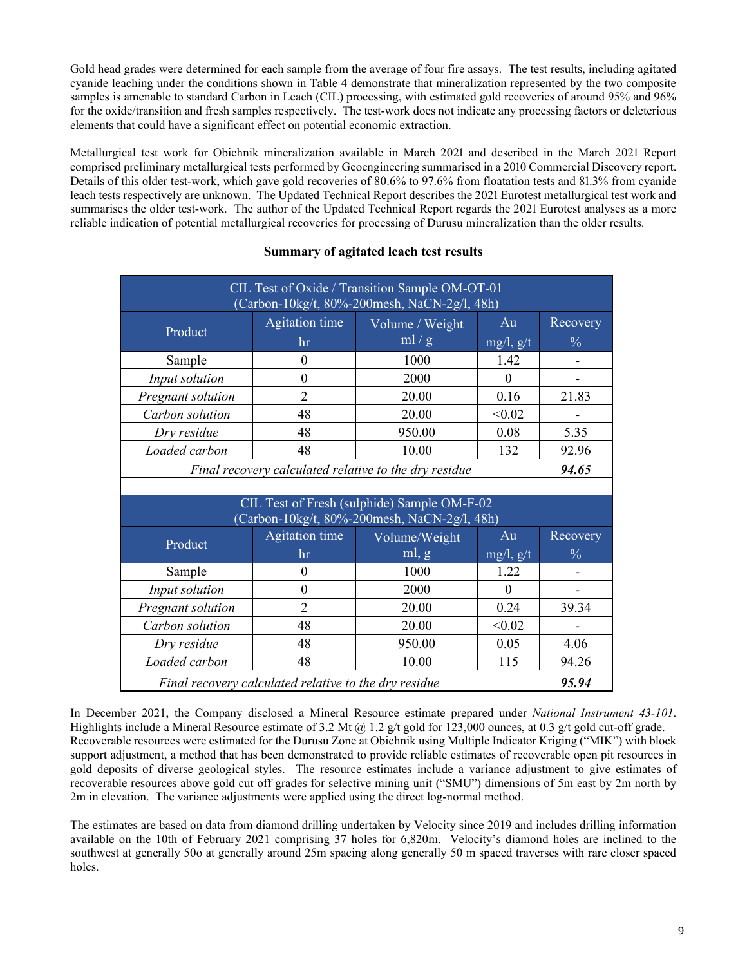Gold head grades were determined for each sample from the average of four fire assays. The test results, including agitated cyanide leaching under the conditions shown in Table 4 demonstrate that mineralization represented by the two composite samples is amenable to standard Carbon in Leach (CIL) processing, with estimated gold recoveries of around 95% and 96% for the oxide/transition and fresh samples respectively. The test-work does not indicate any processing factors or deleterious elements that could have a significant effect on potential economic extraction.

Metallurgical test work for Obichnik mineralization available in March 2021 and described in the March 2021 Report comprised preliminary metallurgical tests performed by Geoengineering summarised in a 2010 Commercial Discovery report. Details of this older test-work, which gave gold recoveries of 80.6% to 97.6% from floatation tests and 81.3% from cyanide leach tests respectively are unknown. The Updated Technical Report describes the 2021 Eurotest metallurgical test work and summarises the older test-work. The author of the Updated Technical Report regards the 2021 Eurotest analyses as a more reliable indication of potential metallurgical recoveries for processing of Durusu mineralization than the older results.

| CIL Test of Oxide / Transition Sample OM-OT-01<br>(Carbon-10kg/t, 80%-200mesh, NaCN-2g/l, 48h) |                                                                       |                                                                                             |                |               |  |  |  |
|------------------------------------------------------------------------------------------------|-----------------------------------------------------------------------|---------------------------------------------------------------------------------------------|----------------|---------------|--|--|--|
| Product                                                                                        | Agitation time<br>Au<br>Volume / Weight<br>ml/g<br>$mg/l$ , g/t<br>hr |                                                                                             |                |               |  |  |  |
| Sample                                                                                         | 0                                                                     | 1000                                                                                        | 1.42           |               |  |  |  |
| Input solution                                                                                 | $\theta$                                                              | 2000                                                                                        | $\Omega$       |               |  |  |  |
| Pregnant solution                                                                              | $\overline{2}$                                                        | 20.00                                                                                       | 0.16           | 21.83         |  |  |  |
| Carbon solution                                                                                | 48                                                                    | 20.00                                                                                       | < 0.02         |               |  |  |  |
| Dry residue                                                                                    | 48                                                                    | 950.00                                                                                      | 0.08           | 5.35          |  |  |  |
| Loaded carbon<br>10.00<br>48<br>132<br>92.96                                                   |                                                                       |                                                                                             |                |               |  |  |  |
|                                                                                                |                                                                       | Final recovery calculated relative to the dry residue                                       |                | 94.65         |  |  |  |
|                                                                                                |                                                                       |                                                                                             |                |               |  |  |  |
|                                                                                                |                                                                       | CIL Test of Fresh (sulphide) Sample OM-F-02<br>(Carbon-10kg/t, 80%-200mesh, NaCN-2g/l, 48h) |                |               |  |  |  |
| Product                                                                                        | <b>Agitation time</b>                                                 | Volume/Weight                                                                               | Au             | Recovery      |  |  |  |
|                                                                                                | hr                                                                    | ml, g                                                                                       | $mg/l$ , $g/t$ | $\frac{0}{0}$ |  |  |  |
| Sample                                                                                         | $\theta$                                                              | 1000                                                                                        | 1.22           |               |  |  |  |
| Input solution                                                                                 | $\mathbf{0}$                                                          | 2000                                                                                        | $\Omega$       |               |  |  |  |
| Pregnant solution                                                                              | $\overline{2}$                                                        | 20.00                                                                                       | 0.24           | 39.34         |  |  |  |
| Carbon solution                                                                                | 48                                                                    | 20.00                                                                                       | < 0.02         |               |  |  |  |
| Dry residue                                                                                    | 48                                                                    | 950.00                                                                                      | 0.05           | 4.06          |  |  |  |
| Loaded carbon                                                                                  | 48                                                                    | 10.00                                                                                       | 115            | 94.26         |  |  |  |
|                                                                                                | 95.94<br>Final recovery calculated relative to the dry residue        |                                                                                             |                |               |  |  |  |

# **Summary of agitated leach test results**

In December 2021, the Company disclosed a Mineral Resource estimate prepared under *National Instrument 43-101*. Highlights include a Mineral Resource estimate of 3.2 Mt @ 1.2 g/t gold for 123,000 ounces, at 0.3 g/t gold cut-off grade. Recoverable resources were estimated for the Durusu Zone at Obichnik using Multiple Indicator Kriging ("MIK") with block support adjustment, a method that has been demonstrated to provide reliable estimates of recoverable open pit resources in gold deposits of diverse geological styles. The resource estimates include a variance adjustment to give estimates of recoverable resources above gold cut off grades for selective mining unit ("SMU") dimensions of 5m east by 2m north by 2m in elevation. The variance adjustments were applied using the direct log-normal method.

The estimates are based on data from diamond drilling undertaken by Velocity since 2019 and includes drilling information available on the 10th of February 2021 comprising 37 holes for 6,820m. Velocity's diamond holes are inclined to the southwest at generally 50o at generally around 25m spacing along generally 50 m spaced traverses with rare closer spaced holes.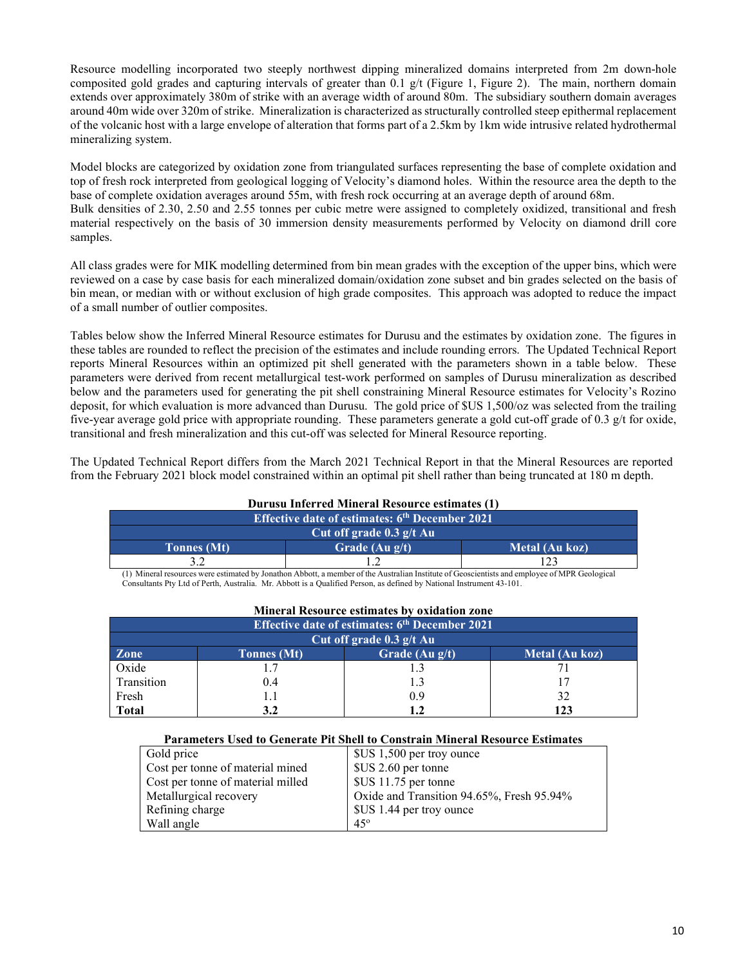Resource modelling incorporated two steeply northwest dipping mineralized domains interpreted from 2m down-hole composited gold grades and capturing intervals of greater than 0.1 g/t (Figure 1, Figure 2). The main, northern domain extends over approximately 380m of strike with an average width of around 80m. The subsidiary southern domain averages around 40m wide over 320m of strike. Mineralization is characterized as structurally controlled steep epithermal replacement of the volcanic host with a large envelope of alteration that forms part of a 2.5km by 1km wide intrusive related hydrothermal mineralizing system.

Model blocks are categorized by oxidation zone from triangulated surfaces representing the base of complete oxidation and top of fresh rock interpreted from geological logging of Velocity's diamond holes. Within the resource area the depth to the base of complete oxidation averages around 55m, with fresh rock occurring at an average depth of around 68m. Bulk densities of 2.30, 2.50 and 2.55 tonnes per cubic metre were assigned to completely oxidized, transitional and fresh material respectively on the basis of 30 immersion density measurements performed by Velocity on diamond drill core samples.

All class grades were for MIK modelling determined from bin mean grades with the exception of the upper bins, which were reviewed on a case by case basis for each mineralized domain/oxidation zone subset and bin grades selected on the basis of bin mean, or median with or without exclusion of high grade composites. This approach was adopted to reduce the impact of a small number of outlier composites.

Tables below show the Inferred Mineral Resource estimates for Durusu and the estimates by oxidation zone. The figures in these tables are rounded to reflect the precision of the estimates and include rounding errors. The Updated Technical Report reports Mineral Resources within an optimized pit shell generated with the parameters shown in a table below. These parameters were derived from recent metallurgical test-work performed on samples of Durusu mineralization as described below and the parameters used for generating the pit shell constraining Mineral Resource estimates for Velocity's Rozino deposit, for which evaluation is more advanced than Durusu. The gold price of \$US 1,500/oz was selected from the trailing five-year average gold price with appropriate rounding. These parameters generate a gold cut-off grade of 0.3 g/t for oxide, transitional and fresh mineralization and this cut-off was selected for Mineral Resource reporting.

The Updated Technical Report differs from the March 2021 Technical Report in that the Mineral Resources are reported from the February 2021 block model constrained within an optimal pit shell rather than being truncated at 180 m depth.

# **Durusu Inferred Mineral Resource estimates (1)**

| <b>Effective date of estimates: 6th December 2021</b> |                   |                |  |  |  |
|-------------------------------------------------------|-------------------|----------------|--|--|--|
| Cut off grade $0.3$ g/t Au                            |                   |                |  |  |  |
| <b>Tonnes</b> (Mt)                                    | Grade (Au $g/t$ ) | Metal (Au koz) |  |  |  |
|                                                       |                   |                |  |  |  |

(1) Mineral resources were estimated by Jonathon Abbott, a member of the Australian Institute of Geoscientists and employee of MPR Geological Consultants Pty Ltd of Perth, Australia. Mr. Abbott is a Qualified Person, as defined by National Instrument 43-101.

| <b>Effective date of estimates: 6th December 2021</b>                           |            |  |    |  |  |  |  |  |
|---------------------------------------------------------------------------------|------------|--|----|--|--|--|--|--|
| Cut off grade $0.3$ g/t Au                                                      |            |  |    |  |  |  |  |  |
| <b>Zone</b><br>Grade (Au $g/t$ )<br><b>Metal (Au koz)</b><br><b>Tonnes</b> (Mt) |            |  |    |  |  |  |  |  |
| Oxide                                                                           |            |  |    |  |  |  |  |  |
| Transition                                                                      | 0.4        |  | 17 |  |  |  |  |  |
| Fresh<br>0.9<br>32                                                              |            |  |    |  |  |  |  |  |
| <b>Total</b>                                                                    | 123<br>3.2 |  |    |  |  |  |  |  |

## **Mineral Resource estimates by oxidation zone**

### **Parameters Used to Generate Pit Shell to Constrain Mineral Resource Estimates**

| Gold price                        | \$US 1,500 per troy ounce                 |
|-----------------------------------|-------------------------------------------|
| Cost per tonne of material mined  | \$US 2.60 per tonne                       |
| Cost per tonne of material milled | \$US 11.75 per tonne                      |
| Metallurgical recovery            | Oxide and Transition 94.65%, Fresh 95.94% |
| Refining charge                   | \$US 1.44 per troy ounce                  |
| Wall angle                        | $45^\circ$                                |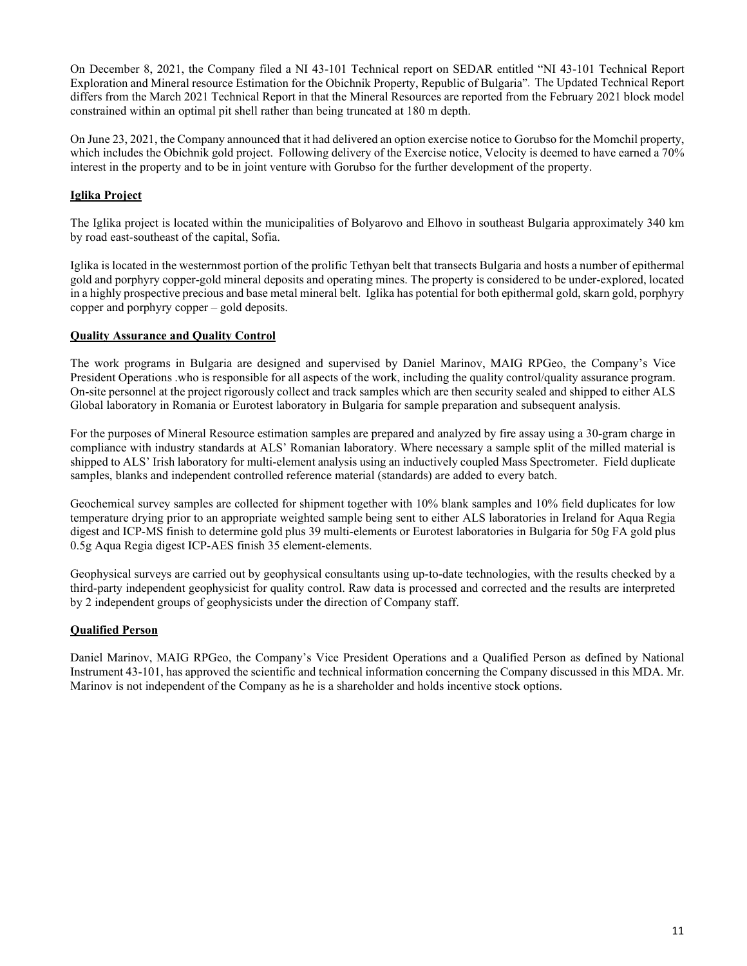On December 8, 2021, the Company filed a NI 43-101 Technical report on SEDAR entitled "NI 43-101 Technical Report Exploration and Mineral resource Estimation for the Obichnik Property, Republic of Bulgaria". The Updated Technical Report differs from the March 2021 Technical Report in that the Mineral Resources are reported from the February 2021 block model constrained within an optimal pit shell rather than being truncated at 180 m depth.

On June 23, 2021, the Company announced that it had delivered an option exercise notice to Gorubso for the Momchil property, which includes the Obichnik gold project. Following delivery of the Exercise notice, Velocity is deemed to have earned a 70% interest in the property and to be in joint venture with Gorubso for the further development of the property.

# **Iglika Project**

The Iglika project is located within the municipalities of Bolyarovo and Elhovo in southeast Bulgaria approximately 340 km by road east-southeast of the capital, Sofia.

Iglika is located in the westernmost portion of the prolific Tethyan belt that transects Bulgaria and hosts a number of epithermal gold and porphyry copper-gold mineral deposits and operating mines. The property is considered to be under-explored, located in a highly prospective precious and base metal mineral belt. Iglika has potential for both epithermal gold, skarn gold, porphyry copper and porphyry copper – gold deposits.

## **Quality Assurance and Quality Control**

The work programs in Bulgaria are designed and supervised by Daniel Marinov, MAIG RPGeo, the Company's Vice President Operations .who is responsible for all aspects of the work, including the quality control/quality assurance program. On-site personnel at the project rigorously collect and track samples which are then security sealed and shipped to either ALS Global laboratory in Romania or Eurotest laboratory in Bulgaria for sample preparation and subsequent analysis.

For the purposes of Mineral Resource estimation samples are prepared and analyzed by fire assay using a 30-gram charge in compliance with industry standards at ALS' Romanian laboratory. Where necessary a sample split of the milled material is shipped to ALS' Irish laboratory for multi-element analysis using an inductively coupled Mass Spectrometer. Field duplicate samples, blanks and independent controlled reference material (standards) are added to every batch.

Geochemical survey samples are collected for shipment together with 10% blank samples and 10% field duplicates for low temperature drying prior to an appropriate weighted sample being sent to either ALS laboratories in Ireland for Aqua Regia digest and ICP-MS finish to determine gold plus 39 multi-elements or Eurotest laboratories in Bulgaria for 50g FA gold plus 0.5g Aqua Regia digest ICP-AES finish 35 element-elements.

Geophysical surveys are carried out by geophysical consultants using up-to-date technologies, with the results checked by a third-party independent geophysicist for quality control. Raw data is processed and corrected and the results are interpreted by 2 independent groups of geophysicists under the direction of Company staff.

## **Qualified Person**

Daniel Marinov, MAIG RPGeo, the Company's Vice President Operations and a Qualified Person as defined by National Instrument 43-101, has approved the scientific and technical information concerning the Company discussed in this MDA. Mr. Marinov is not independent of the Company as he is a shareholder and holds incentive stock options.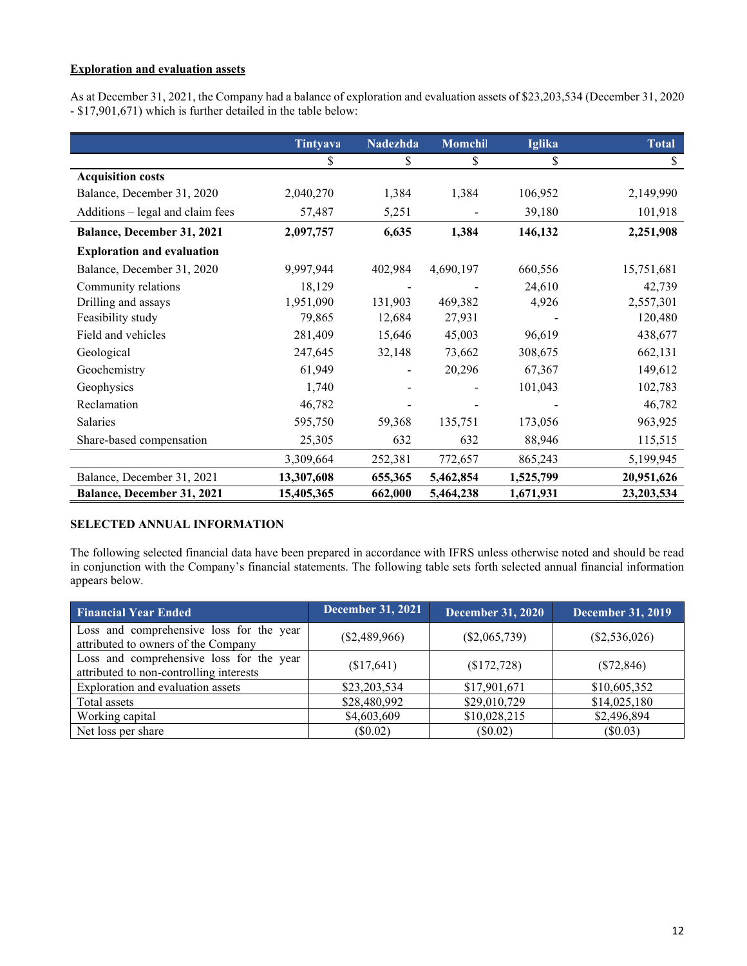# **Exploration and evaluation assets**

As at December 31, 2021, the Company had a balance of exploration and evaluation assets of \$23,203,534 (December 31, 2020 - \$17,901,671) which is further detailed in the table below:

|                                   | Tintyava   | <b>Nadezhda</b> | Momchil   | <b>Iglika</b> | <b>Total</b> |
|-----------------------------------|------------|-----------------|-----------|---------------|--------------|
|                                   | \$         | \$              | \$        | \$            | \$           |
| <b>Acquisition costs</b>          |            |                 |           |               |              |
| Balance, December 31, 2020        | 2,040,270  | 1,384           | 1,384     | 106,952       | 2,149,990    |
| Additions – legal and claim fees  | 57,487     | 5,251           |           | 39,180        | 101,918      |
| Balance, December 31, 2021        | 2,097,757  | 6,635           | 1,384     | 146,132       | 2,251,908    |
| <b>Exploration and evaluation</b> |            |                 |           |               |              |
| Balance, December 31, 2020        | 9,997,944  | 402,984         | 4,690,197 | 660,556       | 15,751,681   |
| Community relations               | 18,129     |                 |           | 24,610        | 42,739       |
| Drilling and assays               | 1,951,090  | 131,903         | 469,382   | 4,926         | 2,557,301    |
| Feasibility study                 | 79,865     | 12,684          | 27,931    |               | 120,480      |
| Field and vehicles                | 281,409    | 15,646          | 45,003    | 96,619        | 438,677      |
| Geological                        | 247,645    | 32,148          | 73,662    | 308,675       | 662,131      |
| Geochemistry                      | 61,949     |                 | 20,296    | 67,367        | 149,612      |
| Geophysics                        | 1,740      |                 |           | 101,043       | 102,783      |
| Reclamation                       | 46,782     |                 |           |               | 46,782       |
| Salaries                          | 595,750    | 59,368          | 135,751   | 173,056       | 963,925      |
| Share-based compensation          | 25,305     | 632             | 632       | 88,946        | 115,515      |
|                                   | 3,309,664  | 252,381         | 772,657   | 865,243       | 5,199,945    |
| Balance, December 31, 2021        | 13,307,608 | 655,365         | 5,462,854 | 1,525,799     | 20,951,626   |
| Balance, December 31, 2021        | 15,405,365 | 662,000         | 5,464,238 | 1,671,931     | 23,203,534   |

# **SELECTED ANNUAL INFORMATION**

The following selected financial data have been prepared in accordance with IFRS unless otherwise noted and should be read in conjunction with the Company's financial statements. The following table sets forth selected annual financial information appears below.

| <b>Financial Year Ended</b>                                                         | <b>December 31, 2021</b> | December 31, 2020 | <b>December 31, 2019</b> |
|-------------------------------------------------------------------------------------|--------------------------|-------------------|--------------------------|
| Loss and comprehensive loss for the year<br>attributed to owners of the Company     | $(\$2,489,966)$          | $(\$2,065,739)$   | $(\$2,536,026)$          |
| Loss and comprehensive loss for the year<br>attributed to non-controlling interests | (\$17,641)               | (\$172,728)       | $(\$72,846)$             |
| Exploration and evaluation assets                                                   | \$23,203,534             | \$17,901,671      | \$10,605,352             |
| Total assets                                                                        | \$28,480,992             | \$29,010,729      | \$14,025,180             |
| Working capital                                                                     | \$4,603,609              | \$10,028,215      | \$2,496,894              |
| Net loss per share                                                                  | (\$0.02)                 | $(\$0.02)$        | $(\$0.03)$               |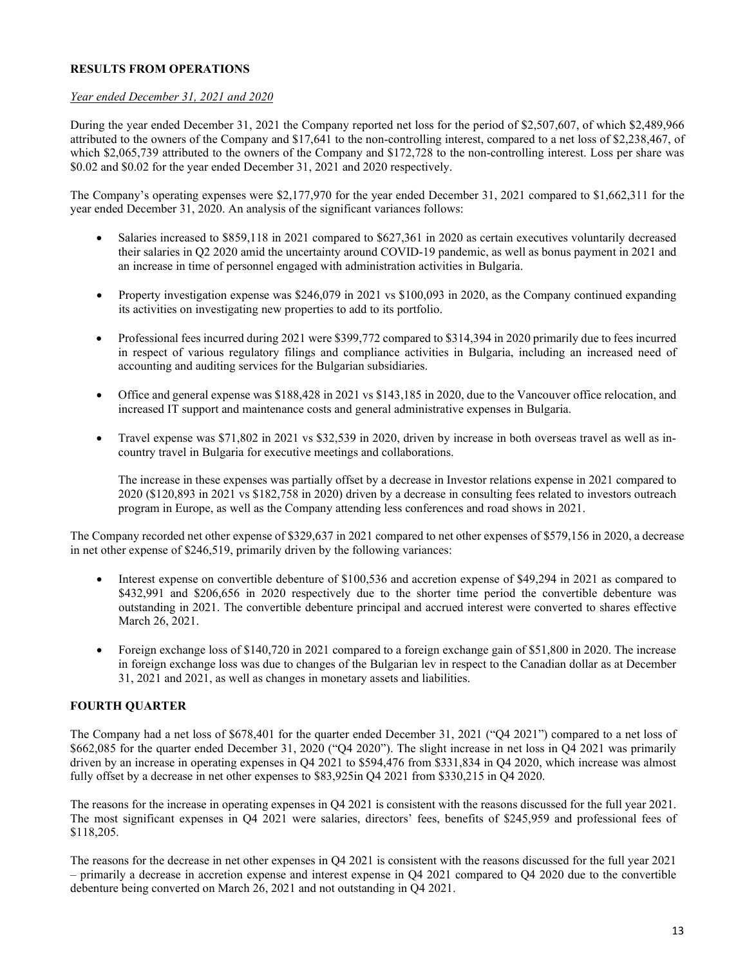### **RESULTS FROM OPERATIONS**

### *Year ended December 31, 2021 and 2020*

During the year ended December 31, 2021 the Company reported net loss for the period of \$2,507,607, of which \$2,489,966 attributed to the owners of the Company and \$17,641 to the non-controlling interest, compared to a net loss of \$2,238,467, of which \$2,065,739 attributed to the owners of the Company and \$172,728 to the non-controlling interest. Loss per share was \$0.02 and \$0.02 for the year ended December 31, 2021 and 2020 respectively.

The Company's operating expenses were \$2,177,970 for the year ended December 31, 2021 compared to \$1,662,311 for the year ended December 31, 2020. An analysis of the significant variances follows:

- Salaries increased to \$859,118 in 2021 compared to \$627,361 in 2020 as certain executives voluntarily decreased their salaries in Q2 2020 amid the uncertainty around COVID-19 pandemic, as well as bonus payment in 2021 and an increase in time of personnel engaged with administration activities in Bulgaria.
- Property investigation expense was \$246,079 in 2021 vs \$100,093 in 2020, as the Company continued expanding its activities on investigating new properties to add to its portfolio.
- Professional fees incurred during 2021 were \$399,772 compared to \$314,394 in 2020 primarily due to fees incurred in respect of various regulatory filings and compliance activities in Bulgaria, including an increased need of accounting and auditing services for the Bulgarian subsidiaries.
- Office and general expense was \$188,428 in 2021 vs \$143,185 in 2020, due to the Vancouver office relocation, and increased IT support and maintenance costs and general administrative expenses in Bulgaria.
- Travel expense was \$71,802 in 2021 vs \$32,539 in 2020, driven by increase in both overseas travel as well as incountry travel in Bulgaria for executive meetings and collaborations.

The increase in these expenses was partially offset by a decrease in Investor relations expense in 2021 compared to 2020 (\$120,893 in 2021 vs \$182,758 in 2020) driven by a decrease in consulting fees related to investors outreach program in Europe, as well as the Company attending less conferences and road shows in 2021.

The Company recorded net other expense of \$329,637 in 2021 compared to net other expenses of \$579,156 in 2020, a decrease in net other expense of \$246,519, primarily driven by the following variances:

- Interest expense on convertible debenture of \$100,536 and accretion expense of \$49,294 in 2021 as compared to \$432,991 and \$206,656 in 2020 respectively due to the shorter time period the convertible debenture was outstanding in 2021. The convertible debenture principal and accrued interest were converted to shares effective March 26, 2021.
- Foreign exchange loss of \$140,720 in 2021 compared to a foreign exchange gain of \$51,800 in 2020. The increase in foreign exchange loss was due to changes of the Bulgarian lev in respect to the Canadian dollar as at December 31, 2021 and 2021, as well as changes in monetary assets and liabilities.

## **FOURTH QUARTER**

The Company had a net loss of \$678,401 for the quarter ended December 31, 2021 ("Q4 2021") compared to a net loss of \$662,085 for the quarter ended December 31, 2020 ("Q4 2020"). The slight increase in net loss in Q4 2021 was primarily driven by an increase in operating expenses in Q4 2021 to \$594,476 from \$331,834 in Q4 2020, which increase was almost fully offset by a decrease in net other expenses to \$83,925in Q4 2021 from \$330,215 in Q4 2020.

The reasons for the increase in operating expenses in Q4 2021 is consistent with the reasons discussed for the full year 2021. The most significant expenses in Q4 2021 were salaries, directors' fees, benefits of \$245,959 and professional fees of \$118,205.

The reasons for the decrease in net other expenses in Q4 2021 is consistent with the reasons discussed for the full year 2021 – primarily a decrease in accretion expense and interest expense in Q4 2021 compared to Q4 2020 due to the convertible debenture being converted on March 26, 2021 and not outstanding in Q4 2021.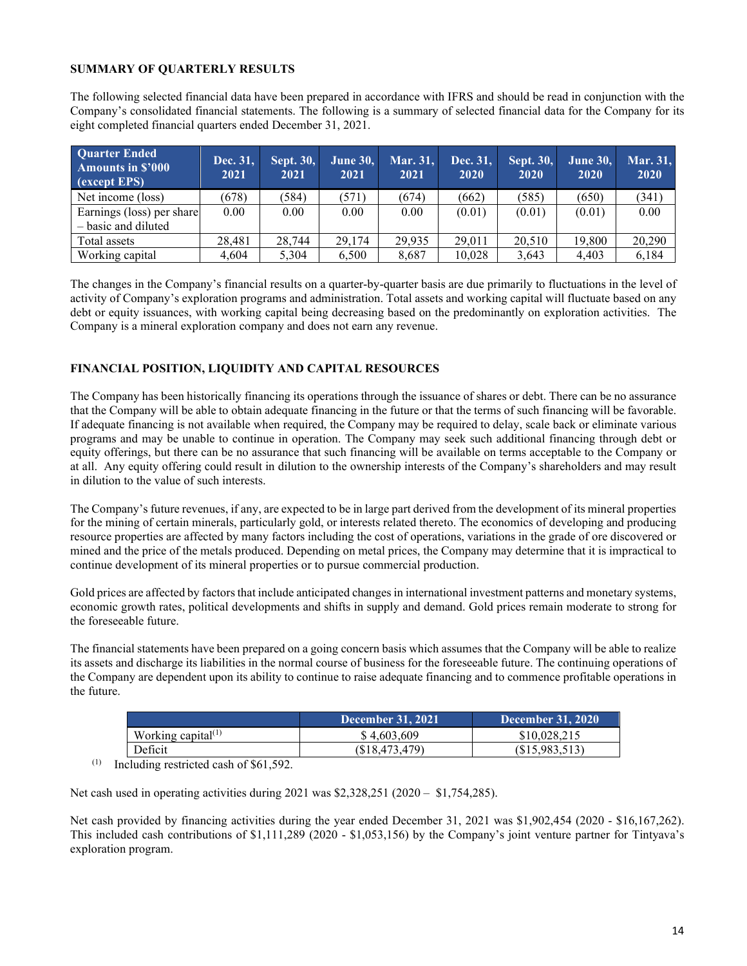## **SUMMARY OF QUARTERLY RESULTS**

The following selected financial data have been prepared in accordance with IFRS and should be read in conjunction with the Company's consolidated financial statements. The following is a summary of selected financial data for the Company for its eight completed financial quarters ended December 31, 2021.

| <b>Quarter Ended</b><br><b>Amounts in \$'000</b><br>(except EPS) | Dec. 31,<br>2021 | <b>Sept. 30,</b><br>2021 | June 30,<br>2021 | Mar. 31,<br>2021 | Dec. 31,<br>2020 | Sept. 30,<br>2020 | <b>June 30,</b><br>2020 | Mar. 31,<br>2020 |
|------------------------------------------------------------------|------------------|--------------------------|------------------|------------------|------------------|-------------------|-------------------------|------------------|
| Net income (loss)                                                | (678)            | (584)                    | (571)            | (674)            | (662)            | (585)             | (650)                   | (341)            |
| Earnings (loss) per share<br>- basic and diluted                 | 0.00             | 0.00                     | 0.00             | 0.00             | (0.01)           | (0.01)            | (0.01)                  | 0.00             |
| Total assets                                                     | 28.481           | 28,744                   | 29.174           | 29.935           | 29,011           | 20,510            | 19.800                  | 20,290           |
| Working capital                                                  | 4.604            | 5.304                    | 6.500            | 8.687            | 10,028           | 3.643             | 4.403                   | 6,184            |

The changes in the Company's financial results on a quarter-by-quarter basis are due primarily to fluctuations in the level of activity of Company's exploration programs and administration. Total assets and working capital will fluctuate based on any debt or equity issuances, with working capital being decreasing based on the predominantly on exploration activities. The Company is a mineral exploration company and does not earn any revenue.

# **FINANCIAL POSITION, LIQUIDITY AND CAPITAL RESOURCES**

The Company has been historically financing its operations through the issuance of shares or debt. There can be no assurance that the Company will be able to obtain adequate financing in the future or that the terms of such financing will be favorable. If adequate financing is not available when required, the Company may be required to delay, scale back or eliminate various programs and may be unable to continue in operation. The Company may seek such additional financing through debt or equity offerings, but there can be no assurance that such financing will be available on terms acceptable to the Company or at all. Any equity offering could result in dilution to the ownership interests of the Company's shareholders and may result in dilution to the value of such interests.

The Company's future revenues, if any, are expected to be in large part derived from the development of its mineral properties for the mining of certain minerals, particularly gold, or interests related thereto. The economics of developing and producing resource properties are affected by many factors including the cost of operations, variations in the grade of ore discovered or mined and the price of the metals produced. Depending on metal prices, the Company may determine that it is impractical to continue development of its mineral properties or to pursue commercial production.

Gold prices are affected by factors that include anticipated changes in international investment patterns and monetary systems, economic growth rates, political developments and shifts in supply and demand. Gold prices remain moderate to strong for the foreseeable future.

The financial statements have been prepared on a going concern basis which assumes that the Company will be able to realize its assets and discharge its liabilities in the normal course of business for the foreseeable future. The continuing operations of the Company are dependent upon its ability to continue to raise adequate financing and to commence profitable operations in the future.

|                       | December 31, 2021 | December 31, $2020$ |
|-----------------------|-------------------|---------------------|
| Working capital $(1)$ | \$4.603.609       | \$10,028,215        |
| Deficit               | (S18, 473, 479)   | (S15.983.513)       |

 $(1)$  Including restricted cash of \$61,592.

Net cash used in operating activities during 2021 was \$2,328,251 (2020 – \$1,754,285).

Net cash provided by financing activities during the year ended December 31, 2021 was \$1,902,454 (2020 - \$16,167,262). This included cash contributions of \$1,111,289 (2020 - \$1,053,156) by the Company's joint venture partner for Tintyava's exploration program.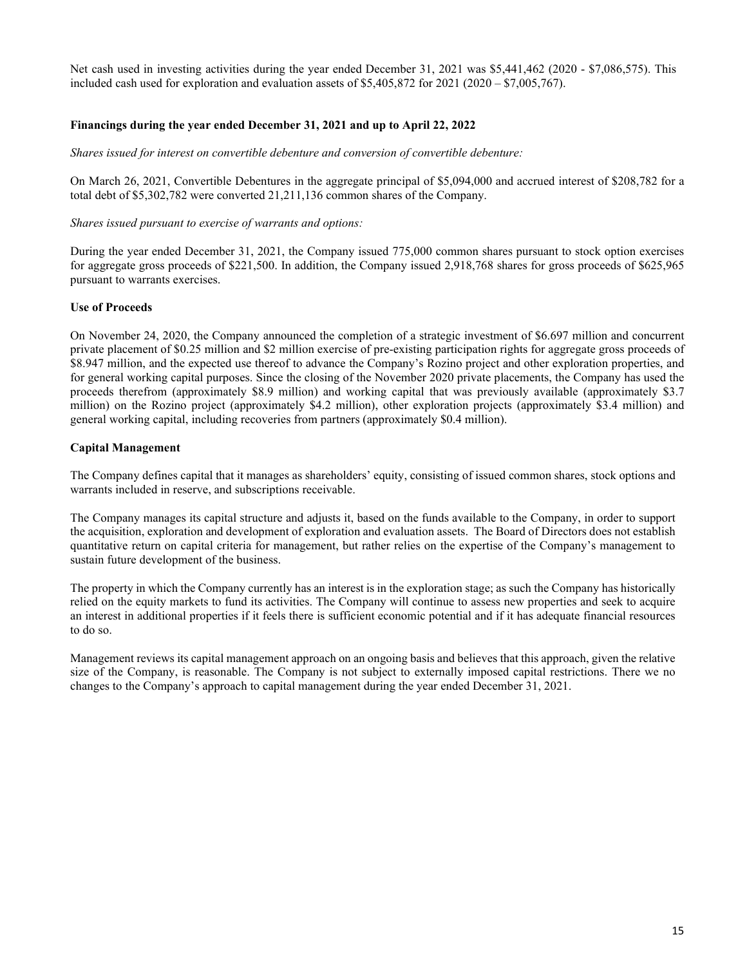Net cash used in investing activities during the year ended December 31, 2021 was \$5,441,462 (2020 - \$7,086,575). This included cash used for exploration and evaluation assets of  $$5,405,872$  for  $2021$  ( $2020 - $7,005,767$ ).

## **Financings during the year ended December 31, 2021 and up to April 22, 2022**

*Shares issued for interest on convertible debenture and conversion of convertible debenture:* 

On March 26, 2021, Convertible Debentures in the aggregate principal of \$5,094,000 and accrued interest of \$208,782 for a total debt of \$5,302,782 were converted 21,211,136 common shares of the Company.

### *Shares issued pursuant to exercise of warrants and options:*

During the year ended December 31, 2021, the Company issued 775,000 common shares pursuant to stock option exercises for aggregate gross proceeds of \$221,500. In addition, the Company issued 2,918,768 shares for gross proceeds of \$625,965 pursuant to warrants exercises.

### **Use of Proceeds**

On November 24, 2020, the Company announced the completion of a strategic investment of \$6.697 million and concurrent private placement of \$0.25 million and \$2 million exercise of pre-existing participation rights for aggregate gross proceeds of \$8.947 million, and the expected use thereof to advance the Company's Rozino project and other exploration properties, and for general working capital purposes. Since the closing of the November 2020 private placements, the Company has used the proceeds therefrom (approximately \$8.9 million) and working capital that was previously available (approximately \$3.7 million) on the Rozino project (approximately \$4.2 million), other exploration projects (approximately \$3.4 million) and general working capital, including recoveries from partners (approximately \$0.4 million).

### **Capital Management**

The Company defines capital that it manages as shareholders' equity, consisting of issued common shares, stock options and warrants included in reserve, and subscriptions receivable.

The Company manages its capital structure and adjusts it, based on the funds available to the Company, in order to support the acquisition, exploration and development of exploration and evaluation assets. The Board of Directors does not establish quantitative return on capital criteria for management, but rather relies on the expertise of the Company's management to sustain future development of the business.

The property in which the Company currently has an interest is in the exploration stage; as such the Company has historically relied on the equity markets to fund its activities. The Company will continue to assess new properties and seek to acquire an interest in additional properties if it feels there is sufficient economic potential and if it has adequate financial resources to do so.

Management reviews its capital management approach on an ongoing basis and believes that this approach, given the relative size of the Company, is reasonable. The Company is not subject to externally imposed capital restrictions. There we no changes to the Company's approach to capital management during the year ended December 31, 2021.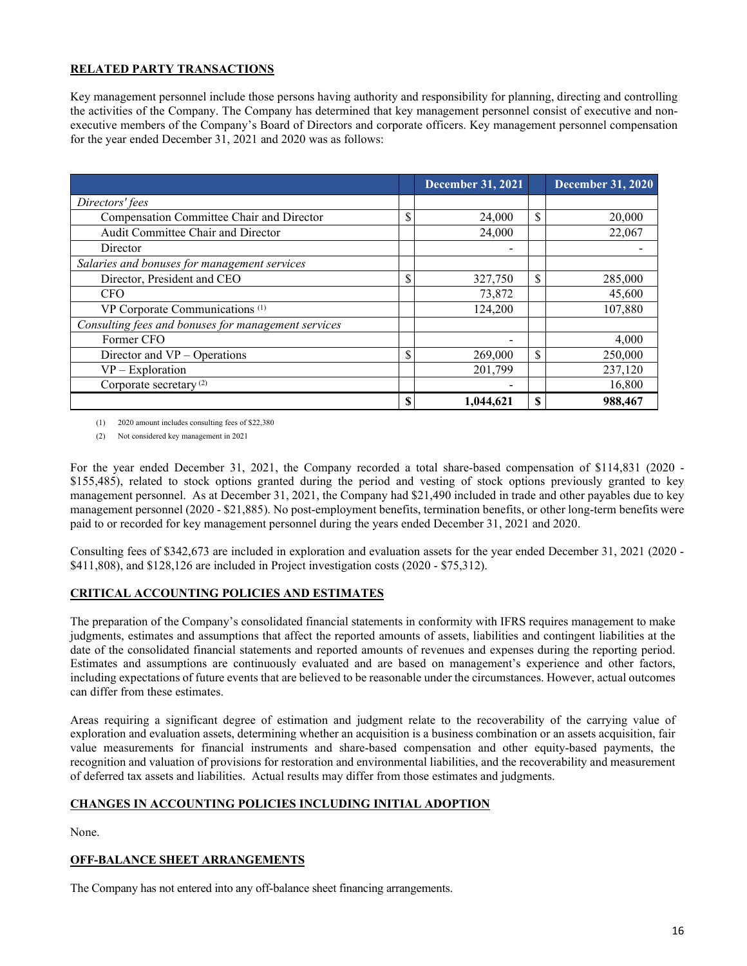## **RELATED PARTY TRANSACTIONS**

Key management personnel include those persons having authority and responsibility for planning, directing and controlling the activities of the Company. The Company has determined that key management personnel consist of executive and nonexecutive members of the Company's Board of Directors and corporate officers. Key management personnel compensation for the year ended December 31, 2021 and 2020 was as follows:

|                                                     | <b>December 31, 2021</b> |    | <b>December 31, 2020</b> |
|-----------------------------------------------------|--------------------------|----|--------------------------|
| Directors' fees                                     |                          |    |                          |
| Compensation Committee Chair and Director           | \$<br>24,000             | \$ | 20,000                   |
| Audit Committee Chair and Director                  | 24,000                   |    | 22,067                   |
| Director                                            |                          |    |                          |
| Salaries and bonuses for management services        |                          |    |                          |
| Director, President and CEO                         | \$<br>327,750            | \$ | 285,000                  |
| <b>CFO</b>                                          | 73,872                   |    | 45,600                   |
| VP Corporate Communications <sup>(1)</sup>          | 124,200                  |    | 107,880                  |
| Consulting fees and bonuses for management services |                          |    |                          |
| Former CFO                                          |                          |    | 4,000                    |
| Director and VP – Operations                        | \$<br>269,000            | \$ | 250,000                  |
| $VP$ – Exploration                                  | 201.799                  |    | 237,120                  |
| Corporate secretary <sup>(2)</sup>                  |                          |    | 16,800                   |
|                                                     | \$<br>1,044,621          | S  | 988,467                  |

(1) 2020 amount includes consulting fees of \$22,380

(2) Not considered key management in 2021

For the year ended December 31, 2021, the Company recorded a total share-based compensation of \$114,831 (2020 - \$155,485), related to stock options granted during the period and vesting of stock options previously granted to key management personnel. As at December 31, 2021, the Company had \$21,490 included in trade and other payables due to key management personnel (2020 - \$21,885). No post-employment benefits, termination benefits, or other long-term benefits were paid to or recorded for key management personnel during the years ended December 31, 2021 and 2020.

Consulting fees of \$342,673 are included in exploration and evaluation assets for the year ended December 31, 2021 (2020 - \$411,808), and \$128,126 are included in Project investigation costs (2020 - \$75,312).

# **CRITICAL ACCOUNTING POLICIES AND ESTIMATES**

The preparation of the Company's consolidated financial statements in conformity with IFRS requires management to make judgments, estimates and assumptions that affect the reported amounts of assets, liabilities and contingent liabilities at the date of the consolidated financial statements and reported amounts of revenues and expenses during the reporting period. Estimates and assumptions are continuously evaluated and are based on management's experience and other factors, including expectations of future events that are believed to be reasonable under the circumstances. However, actual outcomes can differ from these estimates.

Areas requiring a significant degree of estimation and judgment relate to the recoverability of the carrying value of exploration and evaluation assets, determining whether an acquisition is a business combination or an assets acquisition, fair value measurements for financial instruments and share-based compensation and other equity-based payments, the recognition and valuation of provisions for restoration and environmental liabilities, and the recoverability and measurement of deferred tax assets and liabilities. Actual results may differ from those estimates and judgments.

## **CHANGES IN ACCOUNTING POLICIES INCLUDING INITIAL ADOPTION**

None.

## **OFF-BALANCE SHEET ARRANGEMENTS**

The Company has not entered into any off-balance sheet financing arrangements.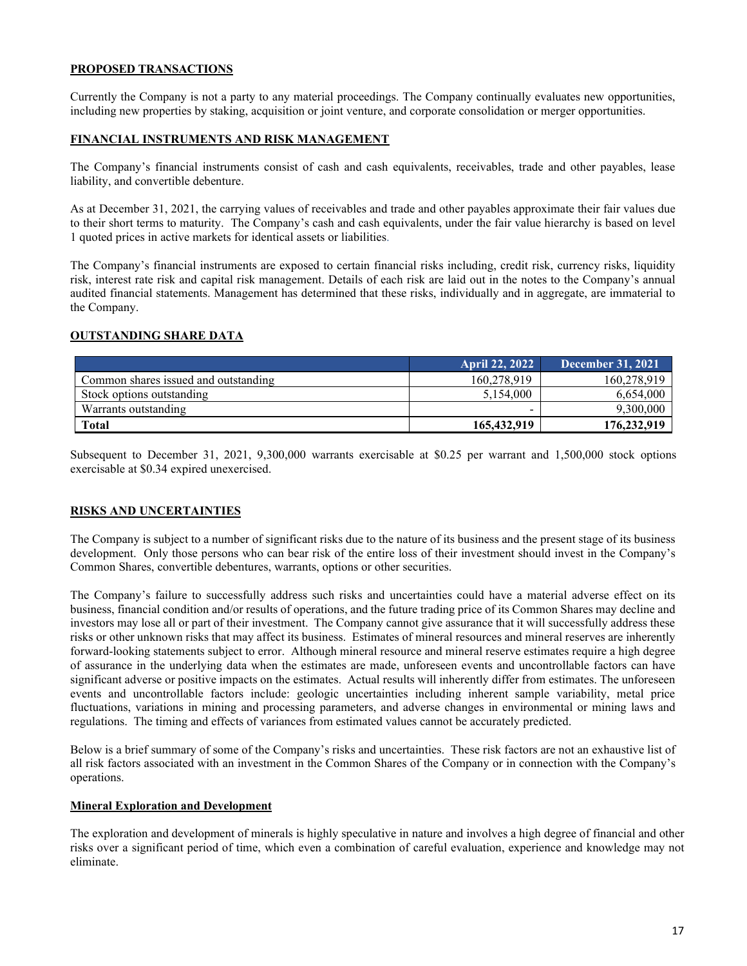### **PROPOSED TRANSACTIONS**

Currently the Company is not a party to any material proceedings. The Company continually evaluates new opportunities, including new properties by staking, acquisition or joint venture, and corporate consolidation or merger opportunities.

### **FINANCIAL INSTRUMENTS AND RISK MANAGEMENT**

The Company's financial instruments consist of cash and cash equivalents, receivables, trade and other payables, lease liability, and convertible debenture.

As at December 31, 2021, the carrying values of receivables and trade and other payables approximate their fair values due to their short terms to maturity. The Company's cash and cash equivalents, under the fair value hierarchy is based on level 1 quoted prices in active markets for identical assets or liabilities.

The Company's financial instruments are exposed to certain financial risks including, credit risk, currency risks, liquidity risk, interest rate risk and capital risk management. Details of each risk are laid out in the notes to the Company's annual audited financial statements. Management has determined that these risks, individually and in aggregate, are immaterial to the Company.

## **OUTSTANDING SHARE DATA**

|                                      | April 22, 2022 \ | <b>December 31, 2021</b> |
|--------------------------------------|------------------|--------------------------|
| Common shares issued and outstanding | 160,278,919      | 160,278,919              |
| Stock options outstanding            | 5.154,000        | 6,654,000                |
| Warrants outstanding                 |                  | 9,300,000                |
| <b>Total</b>                         | 165,432,919      | 176,232,919              |

Subsequent to December 31, 2021, 9,300,000 warrants exercisable at \$0.25 per warrant and 1,500,000 stock options exercisable at \$0.34 expired unexercised.

### **RISKS AND UNCERTAINTIES**

The Company is subject to a number of significant risks due to the nature of its business and the present stage of its business development. Only those persons who can bear risk of the entire loss of their investment should invest in the Company's Common Shares, convertible debentures, warrants, options or other securities.

The Company's failure to successfully address such risks and uncertainties could have a material adverse effect on its business, financial condition and/or results of operations, and the future trading price of its Common Shares may decline and investors may lose all or part of their investment. The Company cannot give assurance that it will successfully address these risks or other unknown risks that may affect its business. Estimates of mineral resources and mineral reserves are inherently forward-looking statements subject to error. Although mineral resource and mineral reserve estimates require a high degree of assurance in the underlying data when the estimates are made, unforeseen events and uncontrollable factors can have significant adverse or positive impacts on the estimates. Actual results will inherently differ from estimates. The unforeseen events and uncontrollable factors include: geologic uncertainties including inherent sample variability, metal price fluctuations, variations in mining and processing parameters, and adverse changes in environmental or mining laws and regulations. The timing and effects of variances from estimated values cannot be accurately predicted.

Below is a brief summary of some of the Company's risks and uncertainties. These risk factors are not an exhaustive list of all risk factors associated with an investment in the Common Shares of the Company or in connection with the Company's operations.

### **Mineral Exploration and Development**

The exploration and development of minerals is highly speculative in nature and involves a high degree of financial and other risks over a significant period of time, which even a combination of careful evaluation, experience and knowledge may not eliminate.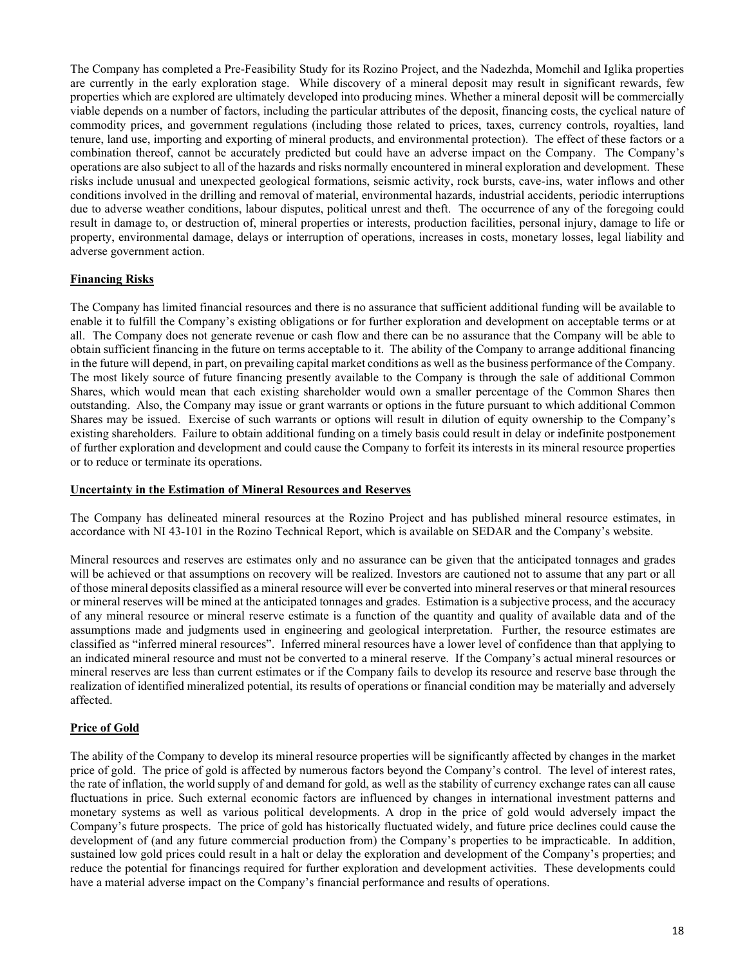The Company has completed a Pre-Feasibility Study for its Rozino Project, and the Nadezhda, Momchil and Iglika properties are currently in the early exploration stage. While discovery of a mineral deposit may result in significant rewards, few properties which are explored are ultimately developed into producing mines. Whether a mineral deposit will be commercially viable depends on a number of factors, including the particular attributes of the deposit, financing costs, the cyclical nature of commodity prices, and government regulations (including those related to prices, taxes, currency controls, royalties, land tenure, land use, importing and exporting of mineral products, and environmental protection). The effect of these factors or a combination thereof, cannot be accurately predicted but could have an adverse impact on the Company. The Company's operations are also subject to all of the hazards and risks normally encountered in mineral exploration and development. These risks include unusual and unexpected geological formations, seismic activity, rock bursts, cave-ins, water inflows and other conditions involved in the drilling and removal of material, environmental hazards, industrial accidents, periodic interruptions due to adverse weather conditions, labour disputes, political unrest and theft. The occurrence of any of the foregoing could result in damage to, or destruction of, mineral properties or interests, production facilities, personal injury, damage to life or property, environmental damage, delays or interruption of operations, increases in costs, monetary losses, legal liability and adverse government action.

## **Financing Risks**

The Company has limited financial resources and there is no assurance that sufficient additional funding will be available to enable it to fulfill the Company's existing obligations or for further exploration and development on acceptable terms or at all. The Company does not generate revenue or cash flow and there can be no assurance that the Company will be able to obtain sufficient financing in the future on terms acceptable to it. The ability of the Company to arrange additional financing in the future will depend, in part, on prevailing capital market conditions as well as the business performance of the Company. The most likely source of future financing presently available to the Company is through the sale of additional Common Shares, which would mean that each existing shareholder would own a smaller percentage of the Common Shares then outstanding. Also, the Company may issue or grant warrants or options in the future pursuant to which additional Common Shares may be issued. Exercise of such warrants or options will result in dilution of equity ownership to the Company's existing shareholders. Failure to obtain additional funding on a timely basis could result in delay or indefinite postponement of further exploration and development and could cause the Company to forfeit its interests in its mineral resource properties or to reduce or terminate its operations.

## **Uncertainty in the Estimation of Mineral Resources and Reserves**

The Company has delineated mineral resources at the Rozino Project and has published mineral resource estimates, in accordance with NI 43-101 in the Rozino Technical Report, which is available on SEDAR and the Company's website.

Mineral resources and reserves are estimates only and no assurance can be given that the anticipated tonnages and grades will be achieved or that assumptions on recovery will be realized. Investors are cautioned not to assume that any part or all of those mineral deposits classified as a mineral resource will ever be converted into mineral reserves or that mineral resources or mineral reserves will be mined at the anticipated tonnages and grades. Estimation is a subjective process, and the accuracy of any mineral resource or mineral reserve estimate is a function of the quantity and quality of available data and of the assumptions made and judgments used in engineering and geological interpretation. Further, the resource estimates are classified as "inferred mineral resources". Inferred mineral resources have a lower level of confidence than that applying to an indicated mineral resource and must not be converted to a mineral reserve. If the Company's actual mineral resources or mineral reserves are less than current estimates or if the Company fails to develop its resource and reserve base through the realization of identified mineralized potential, its results of operations or financial condition may be materially and adversely affected.

## **Price of Gold**

The ability of the Company to develop its mineral resource properties will be significantly affected by changes in the market price of gold. The price of gold is affected by numerous factors beyond the Company's control. The level of interest rates, the rate of inflation, the world supply of and demand for gold, as well as the stability of currency exchange rates can all cause fluctuations in price. Such external economic factors are influenced by changes in international investment patterns and monetary systems as well as various political developments. A drop in the price of gold would adversely impact the Company's future prospects. The price of gold has historically fluctuated widely, and future price declines could cause the development of (and any future commercial production from) the Company's properties to be impracticable. In addition, sustained low gold prices could result in a halt or delay the exploration and development of the Company's properties; and reduce the potential for financings required for further exploration and development activities. These developments could have a material adverse impact on the Company's financial performance and results of operations.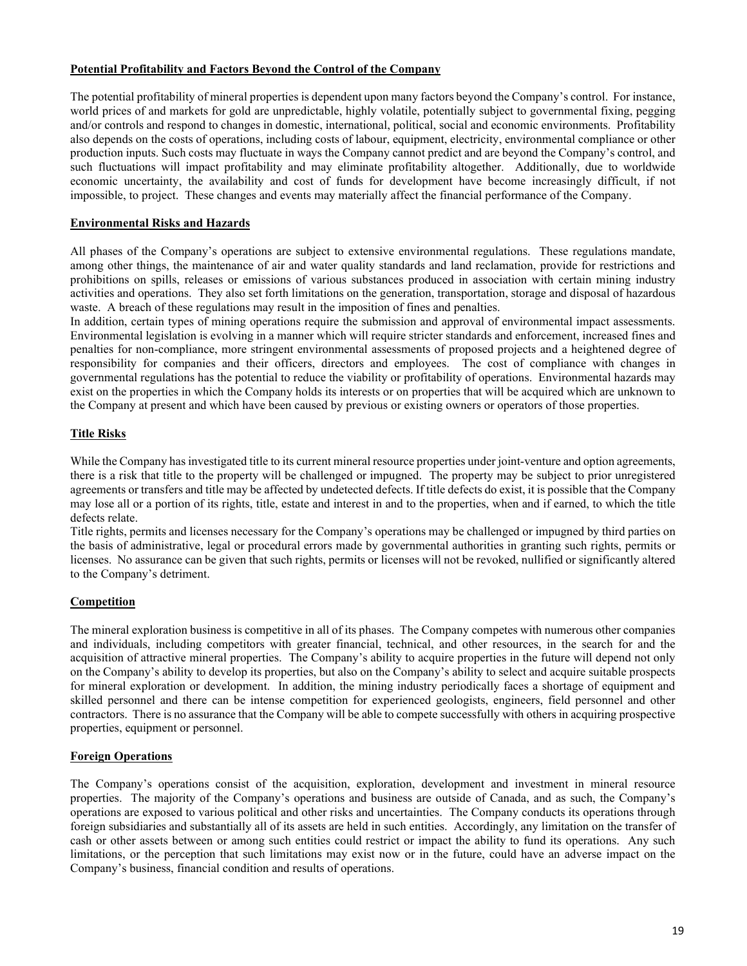## **Potential Profitability and Factors Beyond the Control of the Company**

The potential profitability of mineral properties is dependent upon many factors beyond the Company's control. For instance, world prices of and markets for gold are unpredictable, highly volatile, potentially subject to governmental fixing, pegging and/or controls and respond to changes in domestic, international, political, social and economic environments. Profitability also depends on the costs of operations, including costs of labour, equipment, electricity, environmental compliance or other production inputs. Such costs may fluctuate in ways the Company cannot predict and are beyond the Company's control, and such fluctuations will impact profitability and may eliminate profitability altogether. Additionally, due to worldwide economic uncertainty, the availability and cost of funds for development have become increasingly difficult, if not impossible, to project. These changes and events may materially affect the financial performance of the Company.

### **Environmental Risks and Hazards**

All phases of the Company's operations are subject to extensive environmental regulations. These regulations mandate, among other things, the maintenance of air and water quality standards and land reclamation, provide for restrictions and prohibitions on spills, releases or emissions of various substances produced in association with certain mining industry activities and operations. They also set forth limitations on the generation, transportation, storage and disposal of hazardous waste. A breach of these regulations may result in the imposition of fines and penalties.

In addition, certain types of mining operations require the submission and approval of environmental impact assessments. Environmental legislation is evolving in a manner which will require stricter standards and enforcement, increased fines and penalties for non-compliance, more stringent environmental assessments of proposed projects and a heightened degree of responsibility for companies and their officers, directors and employees. The cost of compliance with changes in governmental regulations has the potential to reduce the viability or profitability of operations. Environmental hazards may exist on the properties in which the Company holds its interests or on properties that will be acquired which are unknown to the Company at present and which have been caused by previous or existing owners or operators of those properties.

## **Title Risks**

While the Company has investigated title to its current mineral resource properties under joint-venture and option agreements, there is a risk that title to the property will be challenged or impugned. The property may be subject to prior unregistered agreements or transfers and title may be affected by undetected defects. If title defects do exist, it is possible that the Company may lose all or a portion of its rights, title, estate and interest in and to the properties, when and if earned, to which the title defects relate.

Title rights, permits and licenses necessary for the Company's operations may be challenged or impugned by third parties on the basis of administrative, legal or procedural errors made by governmental authorities in granting such rights, permits or licenses. No assurance can be given that such rights, permits or licenses will not be revoked, nullified or significantly altered to the Company's detriment.

## **Competition**

The mineral exploration business is competitive in all of its phases. The Company competes with numerous other companies and individuals, including competitors with greater financial, technical, and other resources, in the search for and the acquisition of attractive mineral properties. The Company's ability to acquire properties in the future will depend not only on the Company's ability to develop its properties, but also on the Company's ability to select and acquire suitable prospects for mineral exploration or development. In addition, the mining industry periodically faces a shortage of equipment and skilled personnel and there can be intense competition for experienced geologists, engineers, field personnel and other contractors. There is no assurance that the Company will be able to compete successfully with others in acquiring prospective properties, equipment or personnel.

## **Foreign Operations**

The Company's operations consist of the acquisition, exploration, development and investment in mineral resource properties. The majority of the Company's operations and business are outside of Canada, and as such, the Company's operations are exposed to various political and other risks and uncertainties. The Company conducts its operations through foreign subsidiaries and substantially all of its assets are held in such entities. Accordingly, any limitation on the transfer of cash or other assets between or among such entities could restrict or impact the ability to fund its operations. Any such limitations, or the perception that such limitations may exist now or in the future, could have an adverse impact on the Company's business, financial condition and results of operations.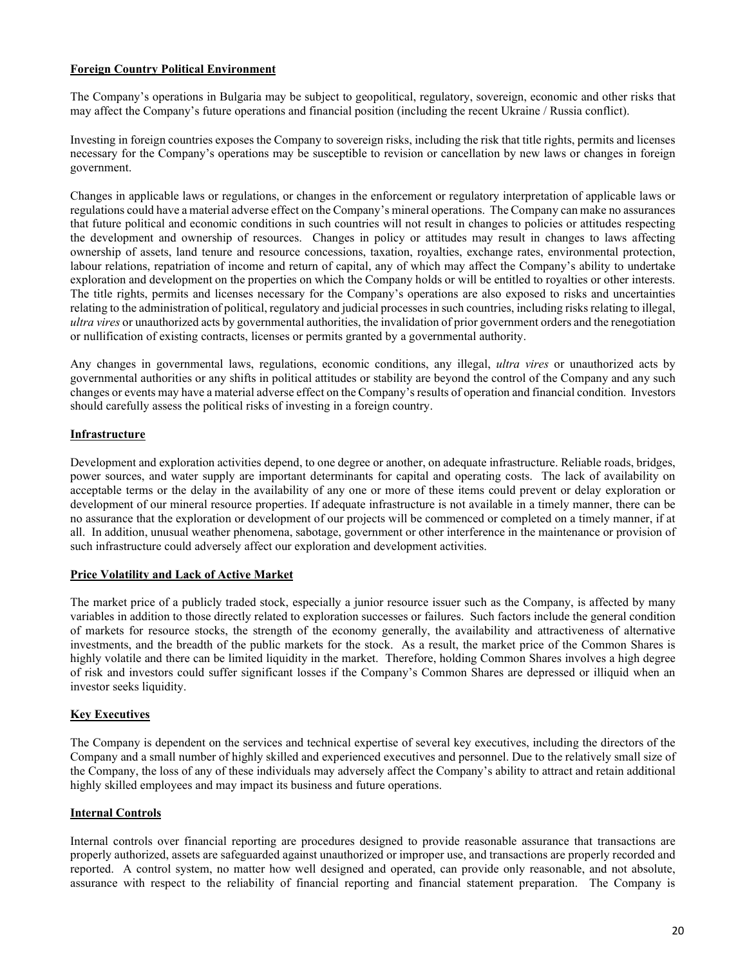## **Foreign Country Political Environment**

The Company's operations in Bulgaria may be subject to geopolitical, regulatory, sovereign, economic and other risks that may affect the Company's future operations and financial position (including the recent Ukraine / Russia conflict).

Investing in foreign countries exposes the Company to sovereign risks, including the risk that title rights, permits and licenses necessary for the Company's operations may be susceptible to revision or cancellation by new laws or changes in foreign government.

Changes in applicable laws or regulations, or changes in the enforcement or regulatory interpretation of applicable laws or regulations could have a material adverse effect on the Company's mineral operations. The Company can make no assurances that future political and economic conditions in such countries will not result in changes to policies or attitudes respecting the development and ownership of resources. Changes in policy or attitudes may result in changes to laws affecting ownership of assets, land tenure and resource concessions, taxation, royalties, exchange rates, environmental protection, labour relations, repatriation of income and return of capital, any of which may affect the Company's ability to undertake exploration and development on the properties on which the Company holds or will be entitled to royalties or other interests. The title rights, permits and licenses necessary for the Company's operations are also exposed to risks and uncertainties relating to the administration of political, regulatory and judicial processes in such countries, including risks relating to illegal, *ultra vires* or unauthorized acts by governmental authorities, the invalidation of prior government orders and the renegotiation or nullification of existing contracts, licenses or permits granted by a governmental authority.

Any changes in governmental laws, regulations, economic conditions, any illegal, *ultra vires* or unauthorized acts by governmental authorities or any shifts in political attitudes or stability are beyond the control of the Company and any such changes or events may have a material adverse effect on the Company's results of operation and financial condition. Investors should carefully assess the political risks of investing in a foreign country.

### **Infrastructure**

Development and exploration activities depend, to one degree or another, on adequate infrastructure. Reliable roads, bridges, power sources, and water supply are important determinants for capital and operating costs. The lack of availability on acceptable terms or the delay in the availability of any one or more of these items could prevent or delay exploration or development of our mineral resource properties. If adequate infrastructure is not available in a timely manner, there can be no assurance that the exploration or development of our projects will be commenced or completed on a timely manner, if at all. In addition, unusual weather phenomena, sabotage, government or other interference in the maintenance or provision of such infrastructure could adversely affect our exploration and development activities.

### **Price Volatility and Lack of Active Market**

The market price of a publicly traded stock, especially a junior resource issuer such as the Company, is affected by many variables in addition to those directly related to exploration successes or failures. Such factors include the general condition of markets for resource stocks, the strength of the economy generally, the availability and attractiveness of alternative investments, and the breadth of the public markets for the stock. As a result, the market price of the Common Shares is highly volatile and there can be limited liquidity in the market. Therefore, holding Common Shares involves a high degree of risk and investors could suffer significant losses if the Company's Common Shares are depressed or illiquid when an investor seeks liquidity.

## **Key Executives**

The Company is dependent on the services and technical expertise of several key executives, including the directors of the Company and a small number of highly skilled and experienced executives and personnel. Due to the relatively small size of the Company, the loss of any of these individuals may adversely affect the Company's ability to attract and retain additional highly skilled employees and may impact its business and future operations.

### **Internal Controls**

Internal controls over financial reporting are procedures designed to provide reasonable assurance that transactions are properly authorized, assets are safeguarded against unauthorized or improper use, and transactions are properly recorded and reported. A control system, no matter how well designed and operated, can provide only reasonable, and not absolute, assurance with respect to the reliability of financial reporting and financial statement preparation. The Company is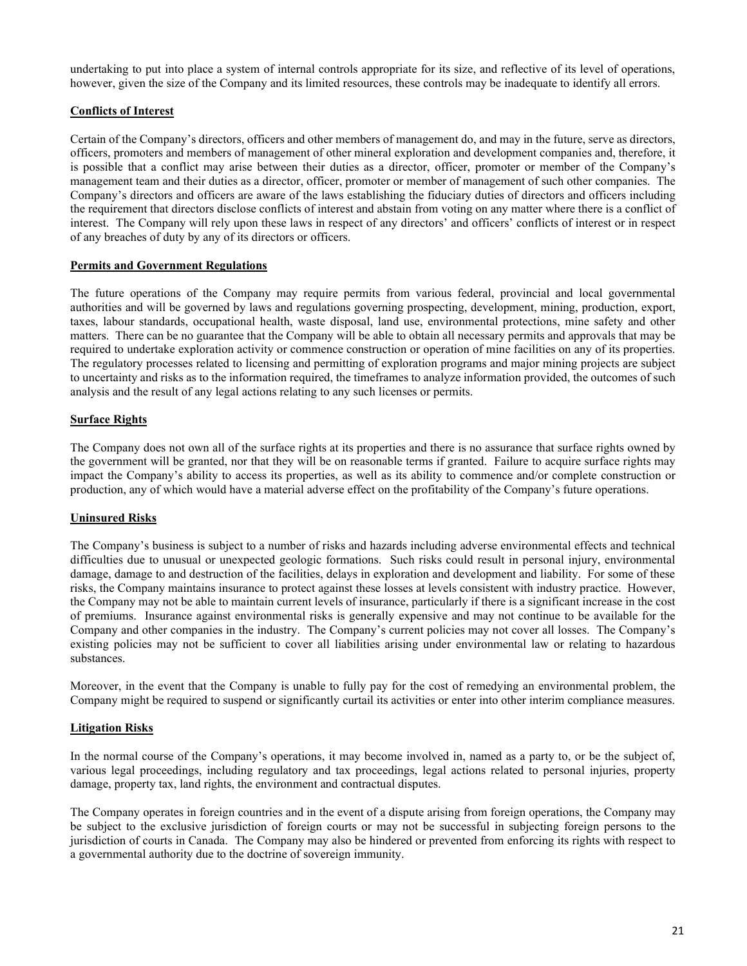undertaking to put into place a system of internal controls appropriate for its size, and reflective of its level of operations, however, given the size of the Company and its limited resources, these controls may be inadequate to identify all errors.

# **Conflicts of Interest**

Certain of the Company's directors, officers and other members of management do, and may in the future, serve as directors, officers, promoters and members of management of other mineral exploration and development companies and, therefore, it is possible that a conflict may arise between their duties as a director, officer, promoter or member of the Company's management team and their duties as a director, officer, promoter or member of management of such other companies. The Company's directors and officers are aware of the laws establishing the fiduciary duties of directors and officers including the requirement that directors disclose conflicts of interest and abstain from voting on any matter where there is a conflict of interest. The Company will rely upon these laws in respect of any directors' and officers' conflicts of interest or in respect of any breaches of duty by any of its directors or officers.

## **Permits and Government Regulations**

The future operations of the Company may require permits from various federal, provincial and local governmental authorities and will be governed by laws and regulations governing prospecting, development, mining, production, export, taxes, labour standards, occupational health, waste disposal, land use, environmental protections, mine safety and other matters. There can be no guarantee that the Company will be able to obtain all necessary permits and approvals that may be required to undertake exploration activity or commence construction or operation of mine facilities on any of its properties. The regulatory processes related to licensing and permitting of exploration programs and major mining projects are subject to uncertainty and risks as to the information required, the timeframes to analyze information provided, the outcomes of such analysis and the result of any legal actions relating to any such licenses or permits.

## **Surface Rights**

The Company does not own all of the surface rights at its properties and there is no assurance that surface rights owned by the government will be granted, nor that they will be on reasonable terms if granted. Failure to acquire surface rights may impact the Company's ability to access its properties, as well as its ability to commence and/or complete construction or production, any of which would have a material adverse effect on the profitability of the Company's future operations.

### **Uninsured Risks**

The Company's business is subject to a number of risks and hazards including adverse environmental effects and technical difficulties due to unusual or unexpected geologic formations. Such risks could result in personal injury, environmental damage, damage to and destruction of the facilities, delays in exploration and development and liability. For some of these risks, the Company maintains insurance to protect against these losses at levels consistent with industry practice. However, the Company may not be able to maintain current levels of insurance, particularly if there is a significant increase in the cost of premiums. Insurance against environmental risks is generally expensive and may not continue to be available for the Company and other companies in the industry. The Company's current policies may not cover all losses. The Company's existing policies may not be sufficient to cover all liabilities arising under environmental law or relating to hazardous substances.

Moreover, in the event that the Company is unable to fully pay for the cost of remedying an environmental problem, the Company might be required to suspend or significantly curtail its activities or enter into other interim compliance measures.

### **Litigation Risks**

In the normal course of the Company's operations, it may become involved in, named as a party to, or be the subject of, various legal proceedings, including regulatory and tax proceedings, legal actions related to personal injuries, property damage, property tax, land rights, the environment and contractual disputes.

The Company operates in foreign countries and in the event of a dispute arising from foreign operations, the Company may be subject to the exclusive jurisdiction of foreign courts or may not be successful in subjecting foreign persons to the jurisdiction of courts in Canada. The Company may also be hindered or prevented from enforcing its rights with respect to a governmental authority due to the doctrine of sovereign immunity.